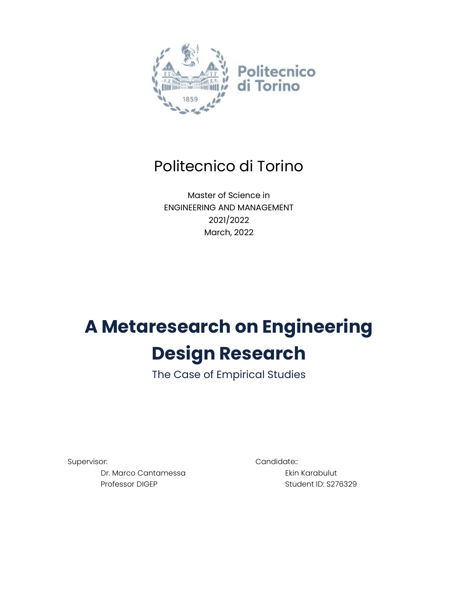

# Politecnico di Torino

Master of Science in ENGINEERING AND MANAGEMENT 2021/2022 March, 2022

# **A Metaresearch on Engineering Design Research**

The Case of Empirical Studies

Supervisor: Candidate::

Dr. Marco Cantamessa Professor DIGEP

Ekin Karabulut

Student ID: S276329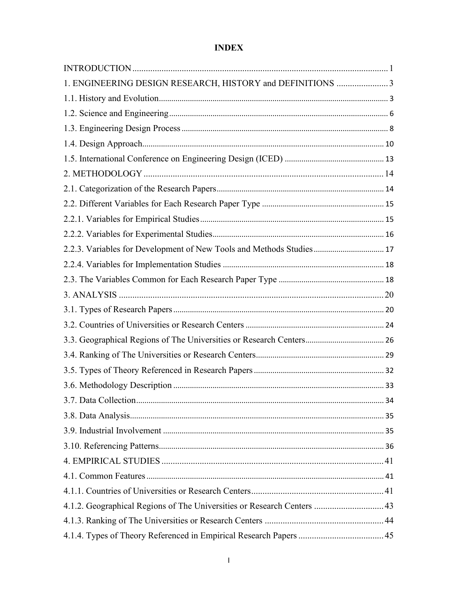# **INDEX**

| 1. ENGINEERING DESIGN RESEARCH, HISTORY and DEFINITIONS 3               |
|-------------------------------------------------------------------------|
|                                                                         |
|                                                                         |
|                                                                         |
|                                                                         |
|                                                                         |
|                                                                         |
|                                                                         |
|                                                                         |
|                                                                         |
|                                                                         |
| 2.2.3. Variables for Development of New Tools and Methods Studies 17    |
|                                                                         |
|                                                                         |
|                                                                         |
|                                                                         |
|                                                                         |
|                                                                         |
|                                                                         |
|                                                                         |
|                                                                         |
|                                                                         |
|                                                                         |
|                                                                         |
|                                                                         |
|                                                                         |
|                                                                         |
|                                                                         |
| 4.1.2. Geographical Regions of The Universities or Research Centers  43 |
|                                                                         |
|                                                                         |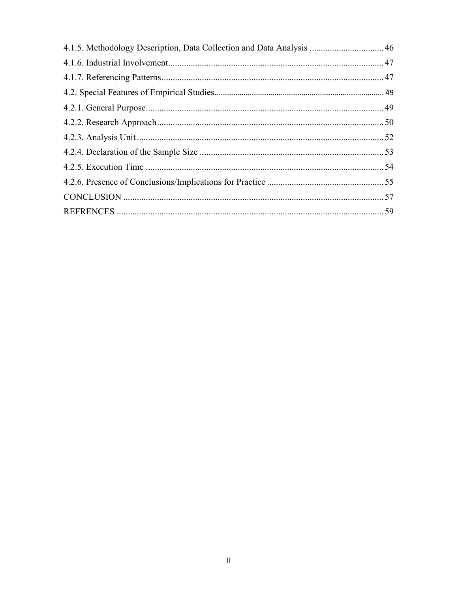| 4.1.5. Methodology Description, Data Collection and Data Analysis  46 |  |
|-----------------------------------------------------------------------|--|
|                                                                       |  |
|                                                                       |  |
|                                                                       |  |
|                                                                       |  |
|                                                                       |  |
|                                                                       |  |
|                                                                       |  |
|                                                                       |  |
|                                                                       |  |
|                                                                       |  |
|                                                                       |  |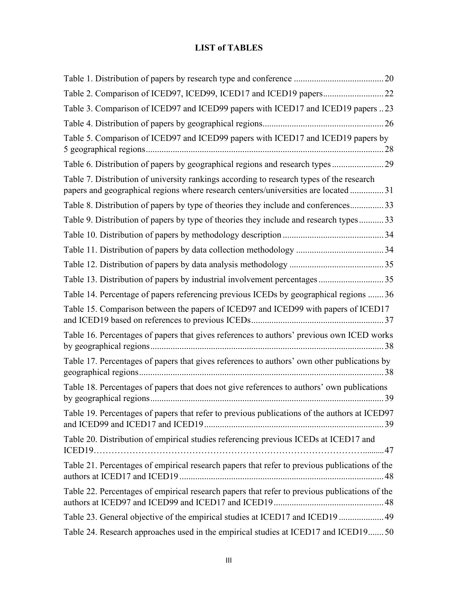### **LIST of TABLES**

| Table 3. Comparison of ICED97 and ICED99 papers with ICED17 and ICED19 papers 23                                                                                                |
|---------------------------------------------------------------------------------------------------------------------------------------------------------------------------------|
|                                                                                                                                                                                 |
| Table 5. Comparison of ICED97 and ICED99 papers with ICED17 and ICED19 papers by                                                                                                |
| Table 6. Distribution of papers by geographical regions and research types  29                                                                                                  |
| Table 7. Distribution of university rankings according to research types of the research<br>papers and geographical regions where research centers/universities are located  31 |
| Table 8. Distribution of papers by type of theories they include and conferences 33                                                                                             |
| Table 9. Distribution of papers by type of theories they include and research types 33                                                                                          |
|                                                                                                                                                                                 |
|                                                                                                                                                                                 |
|                                                                                                                                                                                 |
| Table 13. Distribution of papers by industrial involvement percentages  35                                                                                                      |
| Table 14. Percentage of papers referencing previous ICEDs by geographical regions  36                                                                                           |
| Table 15. Comparison between the papers of ICED97 and ICED99 with papers of ICED17                                                                                              |
| Table 16. Percentages of papers that gives references to authors' previous own ICED works                                                                                       |
| Table 17. Percentages of papers that gives references to authors' own other publications by                                                                                     |
| Table 18. Percentages of papers that does not give references to authors' own publications                                                                                      |
| Table 19. Percentages of papers that refer to previous publications of the authors at ICED97                                                                                    |
| Table 20. Distribution of empirical studies referencing previous ICEDs at ICED17 and                                                                                            |
| Table 21. Percentages of empirical research papers that refer to previous publications of the                                                                                   |
| Table 22. Percentages of empirical research papers that refer to previous publications of the                                                                                   |
| Table 23. General objective of the empirical studies at ICED17 and ICED19  49                                                                                                   |
| Table 24. Research approaches used in the empirical studies at ICED17 and ICED19 50                                                                                             |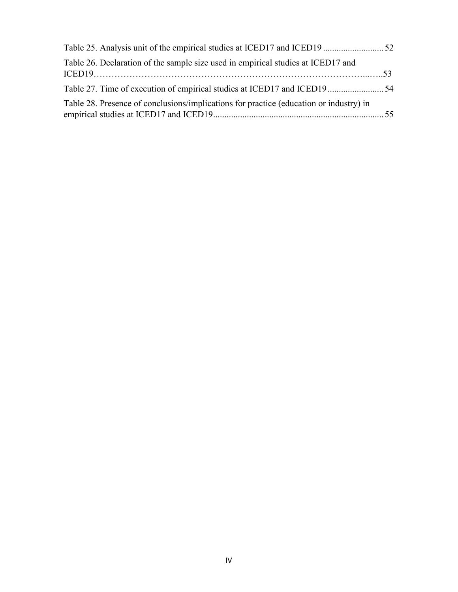| Table 26. Declaration of the sample size used in empirical studies at ICED17 and       |  |
|----------------------------------------------------------------------------------------|--|
|                                                                                        |  |
| Table 28. Presence of conclusions/implications for practice (education or industry) in |  |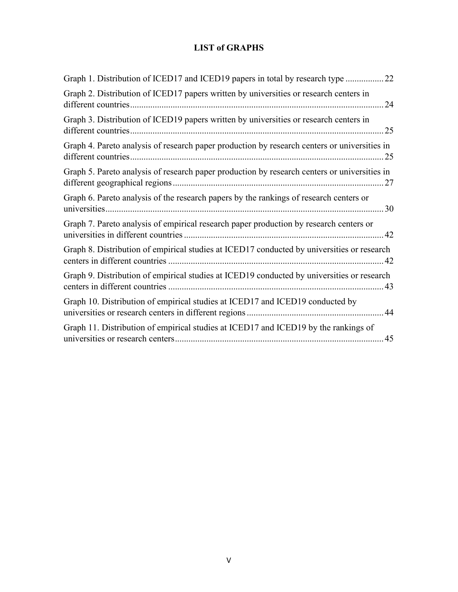# **LIST of GRAPHS**

| Graph 1. Distribution of ICED17 and ICED19 papers in total by research type  22              |
|----------------------------------------------------------------------------------------------|
| Graph 2. Distribution of ICED17 papers written by universities or research centers in<br>24  |
| Graph 3. Distribution of ICED19 papers written by universities or research centers in        |
| Graph 4. Pareto analysis of research paper production by research centers or universities in |
| Graph 5. Pareto analysis of research paper production by research centers or universities in |
| Graph 6. Pareto analysis of the research papers by the rankings of research centers or       |
| Graph 7. Pareto analysis of empirical research paper production by research centers or       |
| Graph 8. Distribution of empirical studies at ICED17 conducted by universities or research   |
| Graph 9. Distribution of empirical studies at ICED19 conducted by universities or research   |
| Graph 10. Distribution of empirical studies at ICED17 and ICED19 conducted by                |
| Graph 11. Distribution of empirical studies at ICED17 and ICED19 by the rankings of          |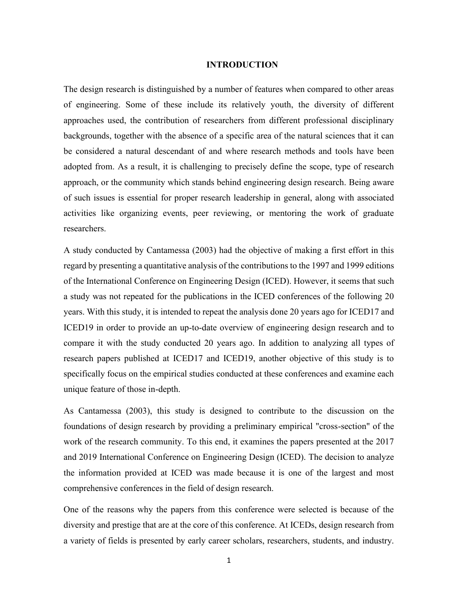#### **INTRODUCTION**

<span id="page-6-0"></span>The design research is distinguished by a number of features when compared to other areas of engineering. Some of these include its relatively youth, the diversity of different approaches used, the contribution of researchers from different professional disciplinary backgrounds, together with the absence of a specific area of the natural sciences that it can be considered a natural descendant of and where research methods and tools have been adopted from. As a result, it is challenging to precisely define the scope, type of research approach, or the community which stands behind engineering design research. Being aware of such issues is essential for proper research leadership in general, along with associated activities like organizing events, peer reviewing, or mentoring the work of graduate researchers.

A study conducted by Cantamessa (2003) had the objective of making a first effort in this regard by presenting a quantitative analysis of the contributions to the 1997 and 1999 editions of the International Conference on Engineering Design (ICED). However, it seems that such a study was not repeated for the publications in the ICED conferences of the following 20 years. With this study, it is intended to repeat the analysis done 20 years ago for ICED17 and ICED19 in order to provide an up-to-date overview of engineering design research and to compare it with the study conducted 20 years ago. In addition to analyzing all types of research papers published at ICED17 and ICED19, another objective of this study is to specifically focus on the empirical studies conducted at these conferences and examine each unique feature of those in-depth.

As Cantamessa (2003), this study is designed to contribute to the discussion on the foundations of design research by providing a preliminary empirical "cross-section" of the work of the research community. To this end, it examines the papers presented at the 2017 and 2019 International Conference on Engineering Design (ICED). The decision to analyze the information provided at ICED was made because it is one of the largest and most comprehensive conferences in the field of design research.

One of the reasons why the papers from this conference were selected is because of the diversity and prestige that are at the core of this conference. At ICEDs, design research from a variety of fields is presented by early career scholars, researchers, students, and industry.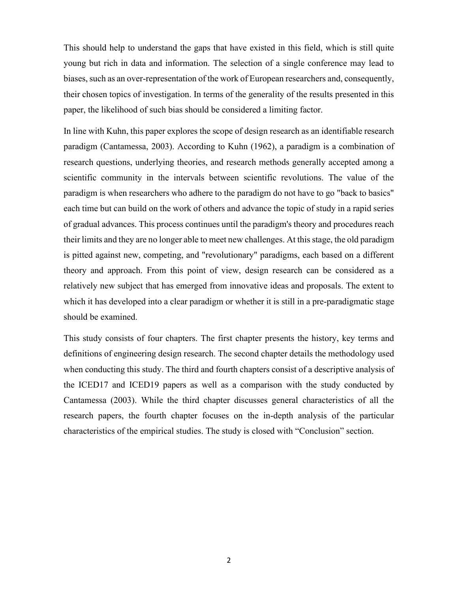This should help to understand the gaps that have existed in this field, which is still quite young but rich in data and information. The selection of a single conference may lead to biases, such as an over-representation of the work of European researchers and, consequently, their chosen topics of investigation. In terms of the generality of the results presented in this paper, the likelihood of such bias should be considered a limiting factor.

In line with Kuhn, this paper explores the scope of design research as an identifiable research paradigm (Cantamessa, 2003). According to Kuhn (1962), a paradigm is a combination of research questions, underlying theories, and research methods generally accepted among a scientific community in the intervals between scientific revolutions. The value of the paradigm is when researchers who adhere to the paradigm do not have to go "back to basics" each time but can build on the work of others and advance the topic of study in a rapid series of gradual advances. This process continues until the paradigm's theory and procedures reach their limits and they are no longer able to meet new challenges. At this stage, the old paradigm is pitted against new, competing, and "revolutionary" paradigms, each based on a different theory and approach. From this point of view, design research can be considered as a relatively new subject that has emerged from innovative ideas and proposals. The extent to which it has developed into a clear paradigm or whether it is still in a pre-paradigmatic stage should be examined.

This study consists of four chapters. The first chapter presents the history, key terms and definitions of engineering design research. The second chapter details the methodology used when conducting this study. The third and fourth chapters consist of a descriptive analysis of the ICED17 and ICED19 papers as well as a comparison with the study conducted by Cantamessa (2003). While the third chapter discusses general characteristics of all the research papers, the fourth chapter focuses on the in-depth analysis of the particular characteristics of the empirical studies. The study is closed with "Conclusion" section.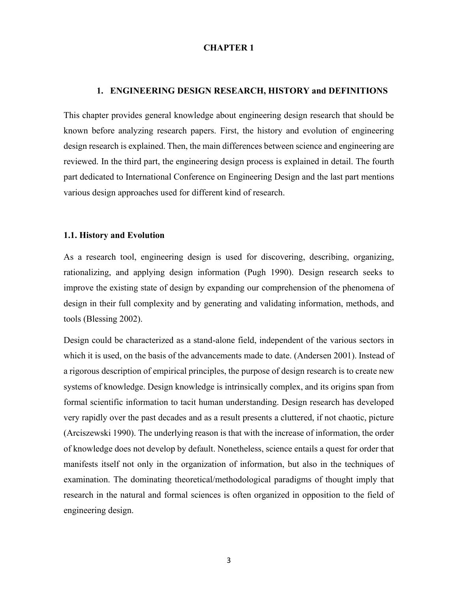#### **CHAPTER 1**

#### **1. ENGINEERING DESIGN RESEARCH, HISTORY and DEFINITIONS**

<span id="page-8-0"></span>This chapter provides general knowledge about engineering design research that should be known before analyzing research papers. First, the history and evolution of engineering design research is explained. Then, the main differences between science and engineering are reviewed. In the third part, the engineering design process is explained in detail. The fourth part dedicated to International Conference on Engineering Design and the last part mentions various design approaches used for different kind of research.

#### <span id="page-8-1"></span>**1.1. History and Evolution**

As a research tool, engineering design is used for discovering, describing, organizing, rationalizing, and applying design information (Pugh 1990). Design research seeks to improve the existing state of design by expanding our comprehension of the phenomena of design in their full complexity and by generating and validating information, methods, and tools (Blessing 2002).

Design could be characterized as a stand-alone field, independent of the various sectors in which it is used, on the basis of the advancements made to date. (Andersen 2001). Instead of a rigorous description of empirical principles, the purpose of design research is to create new systems of knowledge. Design knowledge is intrinsically complex, and its origins span from formal scientific information to tacit human understanding. Design research has developed very rapidly over the past decades and as a result presents a cluttered, if not chaotic, picture (Arciszewski 1990). The underlying reason is that with the increase of information, the order of knowledge does not develop by default. Nonetheless, science entails a quest for order that manifests itself not only in the organization of information, but also in the techniques of examination. The dominating theoretical/methodological paradigms of thought imply that research in the natural and formal sciences is often organized in opposition to the field of engineering design.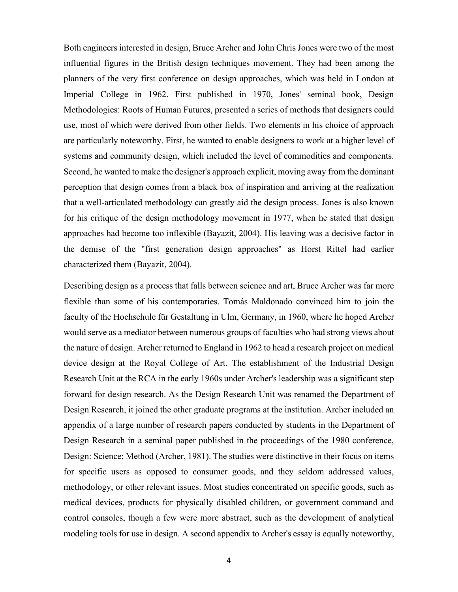Both engineers interested in design, Bruce Archer and John Chris Jones were two of the most influential figures in the British design techniques movement. They had been among the planners of the very first conference on design approaches, which was held in London at Imperial College in 1962. First published in 1970, Jones' seminal book, Design Methodologies: Roots of Human Futures, presented a series of methods that designers could use, most of which were derived from other fields. Two elements in his choice of approach are particularly noteworthy. First, he wanted to enable designers to work at a higher level of systems and community design, which included the level of commodities and components. Second, he wanted to make the designer's approach explicit, moving away from the dominant perception that design comes from a black box of inspiration and arriving at the realization that a well-articulated methodology can greatly aid the design process. Jones is also known for his critique of the design methodology movement in 1977, when he stated that design approaches had become too inflexible (Bayazit, 2004). His leaving was a decisive factor in the demise of the "first generation design approaches" as Horst Rittel had earlier characterized them (Bayazit, 2004).

Describing design as a process that falls between science and art, Bruce Archer was far more flexible than some of his contemporaries. Tomás Maldonado convinced him to join the faculty of the Hochschule für Gestaltung in Ulm, Germany, in 1960, where he hoped Archer would serve as a mediator between numerous groups of faculties who had strong views about the nature of design. Archer returned to England in 1962 to head a research project on medical device design at the Royal College of Art. The establishment of the Industrial Design Research Unit at the RCA in the early 1960s under Archer's leadership was a significant step forward for design research. As the Design Research Unit was renamed the Department of Design Research, it joined the other graduate programs at the institution. Archer included an appendix of a large number of research papers conducted by students in the Department of Design Research in a seminal paper published in the proceedings of the 1980 conference, Design: Science: Method (Archer, 1981). The studies were distinctive in their focus on items for specific users as opposed to consumer goods, and they seldom addressed values, methodology, or other relevant issues. Most studies concentrated on specific goods, such as medical devices, products for physically disabled children, or government command and control consoles, though a few were more abstract, such as the development of analytical modeling tools for use in design. A second appendix to Archer's essay is equally noteworthy,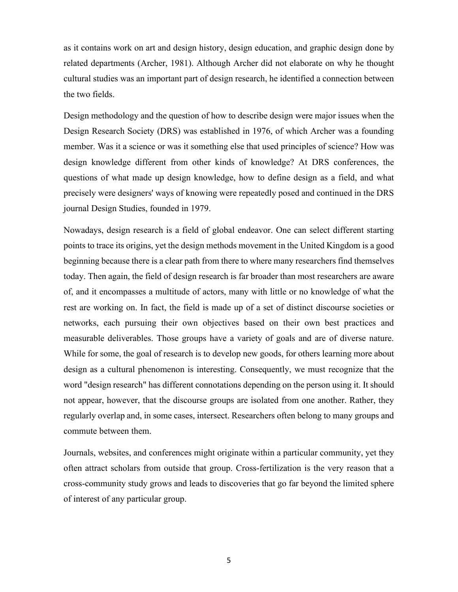as it contains work on art and design history, design education, and graphic design done by related departments (Archer, 1981). Although Archer did not elaborate on why he thought cultural studies was an important part of design research, he identified a connection between the two fields.

Design methodology and the question of how to describe design were major issues when the Design Research Society (DRS) was established in 1976, of which Archer was a founding member. Was it a science or was it something else that used principles of science? How was design knowledge different from other kinds of knowledge? At DRS conferences, the questions of what made up design knowledge, how to define design as a field, and what precisely were designers' ways of knowing were repeatedly posed and continued in the DRS journal Design Studies, founded in 1979.

Nowadays, design research is a field of global endeavor. One can select different starting points to trace its origins, yet the design methods movement in the United Kingdom is a good beginning because there is a clear path from there to where many researchers find themselves today. Then again, the field of design research is far broader than most researchers are aware of, and it encompasses a multitude of actors, many with little or no knowledge of what the rest are working on. In fact, the field is made up of a set of distinct discourse societies or networks, each pursuing their own objectives based on their own best practices and measurable deliverables. Those groups have a variety of goals and are of diverse nature. While for some, the goal of research is to develop new goods, for others learning more about design as a cultural phenomenon is interesting. Consequently, we must recognize that the word "design research" has different connotations depending on the person using it. It should not appear, however, that the discourse groups are isolated from one another. Rather, they regularly overlap and, in some cases, intersect. Researchers often belong to many groups and commute between them.

Journals, websites, and conferences might originate within a particular community, yet they often attract scholars from outside that group. Cross-fertilization is the very reason that a cross-community study grows and leads to discoveries that go far beyond the limited sphere of interest of any particular group.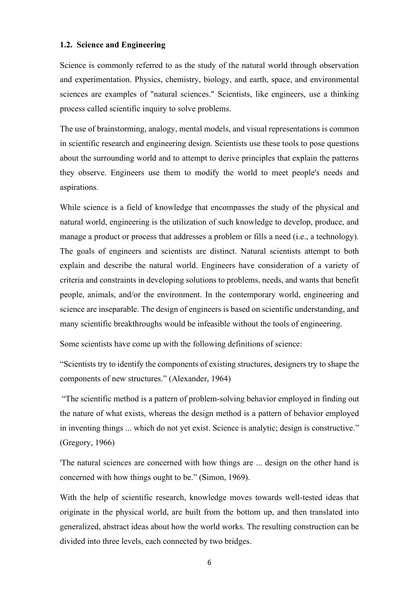#### <span id="page-11-0"></span>**1.2. Science and Engineering**

Science is commonly referred to as the study of the natural world through observation and experimentation. Physics, chemistry, biology, and earth, space, and environmental sciences are examples of "natural sciences." Scientists, like engineers, use a thinking process called scientific inquiry to solve problems.

The use of brainstorming, analogy, mental models, and visual representations is common in scientific research and engineering design. Scientists use these tools to pose questions about the surrounding world and to attempt to derive principles that explain the patterns they observe. Engineers use them to modify the world to meet people's needs and aspirations.

While science is a field of knowledge that encompasses the study of the physical and natural world, engineering is the utilization of such knowledge to develop, produce, and manage a product or process that addresses a problem or fills a need (i.e., a technology). The goals of engineers and scientists are distinct. Natural scientists attempt to both explain and describe the natural world. Engineers have consideration of a variety of criteria and constraints in developing solutions to problems, needs, and wants that benefit people, animals, and/or the environment. In the contemporary world, engineering and science are inseparable. The design of engineers is based on scientific understanding, and many scientific breakthroughs would be infeasible without the tools of engineering.

Some scientists have come up with the following definitions of science:

"Scientists try to identify the components of existing structures, designers try to shape the components of new structures." (Alexander, 1964)

"The scientific method is a pattern of problem-solving behavior employed in finding out the nature of what exists, whereas the design method is a pattern of behavior employed in inventing things ... which do not yet exist. Science is analytic; design is constructive." (Gregory, 1966)

'The natural sciences are concerned with how things are ... design on the other hand is concerned with how things ought to be." (Simon, 1969).

With the help of scientific research, knowledge moves towards well-tested ideas that originate in the physical world, are built from the bottom up, and then translated into generalized, abstract ideas about how the world works. The resulting construction can be divided into three levels, each connected by two bridges.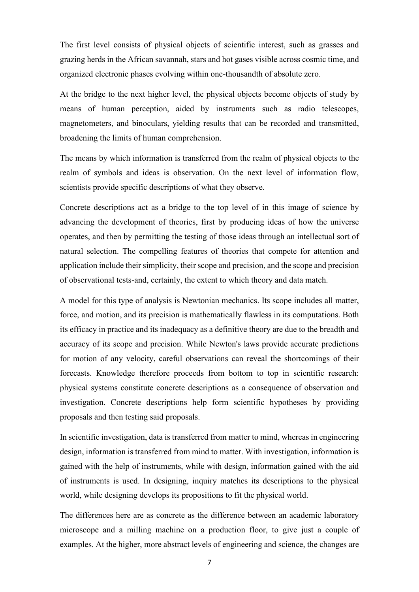The first level consists of physical objects of scientific interest, such as grasses and grazing herds in the African savannah, stars and hot gases visible across cosmic time, and organized electronic phases evolving within one-thousandth of absolute zero.

At the bridge to the next higher level, the physical objects become objects of study by means of human perception, aided by instruments such as radio telescopes, magnetometers, and binoculars, yielding results that can be recorded and transmitted, broadening the limits of human comprehension.

The means by which information is transferred from the realm of physical objects to the realm of symbols and ideas is observation. On the next level of information flow, scientists provide specific descriptions of what they observe.

Concrete descriptions act as a bridge to the top level of in this image of science by advancing the development of theories, first by producing ideas of how the universe operates, and then by permitting the testing of those ideas through an intellectual sort of natural selection. The compelling features of theories that compete for attention and application include their simplicity, their scope and precision, and the scope and precision of observational tests-and, certainly, the extent to which theory and data match.

A model for this type of analysis is Newtonian mechanics. Its scope includes all matter, force, and motion, and its precision is mathematically flawless in its computations. Both its efficacy in practice and its inadequacy as a definitive theory are due to the breadth and accuracy of its scope and precision. While Newton's laws provide accurate predictions for motion of any velocity, careful observations can reveal the shortcomings of their forecasts. Knowledge therefore proceeds from bottom to top in scientific research: physical systems constitute concrete descriptions as a consequence of observation and investigation. Concrete descriptions help form scientific hypotheses by providing proposals and then testing said proposals.

In scientific investigation, data is transferred from matter to mind, whereas in engineering design, information is transferred from mind to matter. With investigation, information is gained with the help of instruments, while with design, information gained with the aid of instruments is used. In designing, inquiry matches its descriptions to the physical world, while designing develops its propositions to fit the physical world.

The differences here are as concrete as the difference between an academic laboratory microscope and a milling machine on a production floor, to give just a couple of examples. At the higher, more abstract levels of engineering and science, the changes are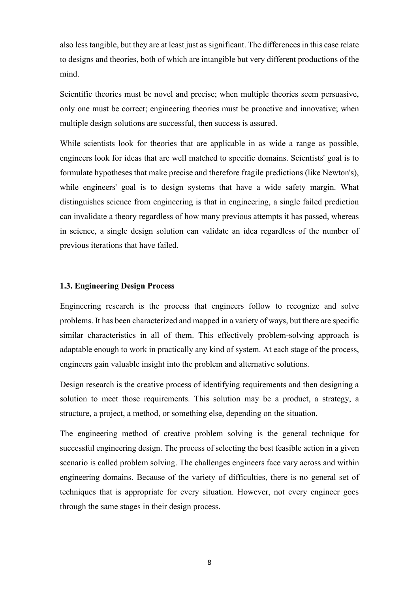also less tangible, but they are at least just as significant. The differences in this case relate to designs and theories, both of which are intangible but very different productions of the mind.

Scientific theories must be novel and precise; when multiple theories seem persuasive, only one must be correct; engineering theories must be proactive and innovative; when multiple design solutions are successful, then success is assured.

While scientists look for theories that are applicable in as wide a range as possible, engineers look for ideas that are well matched to specific domains. Scientists' goal is to formulate hypotheses that make precise and therefore fragile predictions (like Newton's), while engineers' goal is to design systems that have a wide safety margin. What distinguishes science from engineering is that in engineering, a single failed prediction can invalidate a theory regardless of how many previous attempts it has passed, whereas in science, a single design solution can validate an idea regardless of the number of previous iterations that have failed.

#### <span id="page-13-0"></span>**1.3. Engineering Design Process**

Engineering research is the process that engineers follow to recognize and solve problems. It has been characterized and mapped in a variety of ways, but there are specific similar characteristics in all of them. This effectively problem-solving approach is adaptable enough to work in practically any kind of system. At each stage of the process, engineers gain valuable insight into the problem and alternative solutions.

Design research is the creative process of identifying requirements and then designing a solution to meet those requirements. This solution may be a product, a strategy, a structure, a project, a method, or something else, depending on the situation.

The engineering method of creative problem solving is the general technique for successful engineering design. The process of selecting the best feasible action in a given scenario is called problem solving. The challenges engineers face vary across and within engineering domains. Because of the variety of difficulties, there is no general set of techniques that is appropriate for every situation. However, not every engineer goes through the same stages in their design process.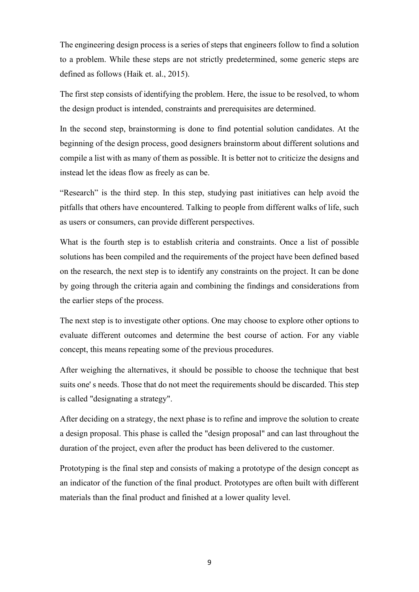The engineering design process is a series of steps that engineers follow to find a solution to a problem. While these steps are not strictly predetermined, some generic steps are defined as follows (Haik et. al., 2015).

The first step consists of identifying the problem. Here, the issue to be resolved, to whom the design product is intended, constraints and prerequisites are determined.

In the second step, brainstorming is done to find potential solution candidates. At the beginning of the design process, good designers brainstorm about different solutions and compile a list with as many of them as possible. It is better not to criticize the designs and instead let the ideas flow as freely as can be.

"Research" is the third step. In this step, studying past initiatives can help avoid the pitfalls that others have encountered. Talking to people from different walks of life, such as users or consumers, can provide different perspectives.

What is the fourth step is to establish criteria and constraints. Once a list of possible solutions has been compiled and the requirements of the project have been defined based on the research, the next step is to identify any constraints on the project. It can be done by going through the criteria again and combining the findings and considerations from the earlier steps of the process.

The next step is to investigate other options. One may choose to explore other options to evaluate different outcomes and determine the best course of action. For any viable concept, this means repeating some of the previous procedures.

After weighing the alternatives, it should be possible to choose the technique that best suits one' s needs. Those that do not meet the requirements should be discarded. This step is called "designating a strategy".

After deciding on a strategy, the next phase is to refine and improve the solution to create a design proposal. This phase is called the "design proposal" and can last throughout the duration of the project, even after the product has been delivered to the customer.

Prototyping is the final step and consists of making a prototype of the design concept as an indicator of the function of the final product. Prototypes are often built with different materials than the final product and finished at a lower quality level.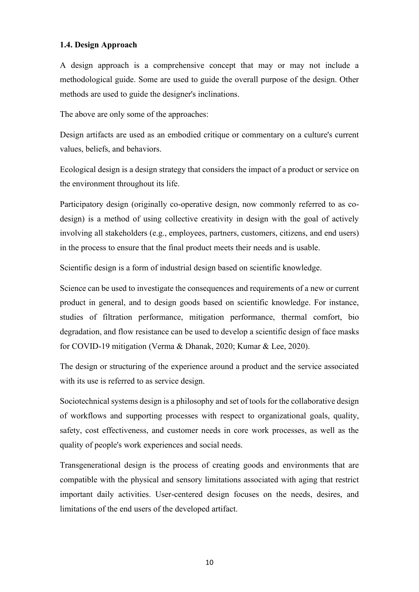#### <span id="page-15-0"></span>**1.4. Design Approach**

A design approach is a comprehensive concept that may or may not include a methodological guide. Some are used to guide the overall purpose of the design. Other methods are used to guide the designer's inclinations.

The above are only some of the approaches:

Design artifacts are used as an embodied critique or commentary on a culture's current values, beliefs, and behaviors.

Ecological design is a design strategy that considers the impact of a product or service on the environment throughout its life.

Participatory design (originally co-operative design, now commonly referred to as codesign) is a method of using collective creativity in design with the goal of actively involving all stakeholders (e.g., employees, partners, customers, citizens, and end users) in the process to ensure that the final product meets their needs and is usable.

Scientific design is a form of industrial design based on scientific knowledge.

Science can be used to investigate the consequences and requirements of a new or current product in general, and to design goods based on scientific knowledge. For instance, studies of filtration performance, mitigation performance, thermal comfort, bio degradation, and flow resistance can be used to develop a scientific design of face masks for COVID-19 mitigation (Verma & Dhanak, 2020; Kumar & Lee, 2020).

The design or structuring of the experience around a product and the service associated with its use is referred to as service design.

Sociotechnical systems design is a philosophy and set of tools for the collaborative design of workflows and supporting processes with respect to organizational goals, quality, safety, cost effectiveness, and customer needs in core work processes, as well as the quality of people's work experiences and social needs.

Transgenerational design is the process of creating goods and environments that are compatible with the physical and sensory limitations associated with aging that restrict important daily activities. User-centered design focuses on the needs, desires, and limitations of the end users of the developed artifact.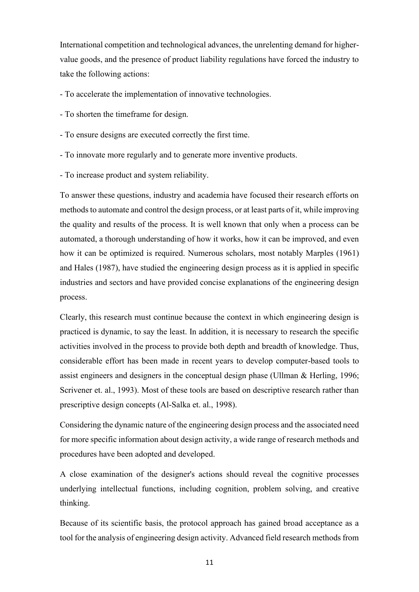International competition and technological advances, the unrelenting demand for highervalue goods, and the presence of product liability regulations have forced the industry to take the following actions:

- To accelerate the implementation of innovative technologies.
- To shorten the timeframe for design.
- To ensure designs are executed correctly the first time.
- To innovate more regularly and to generate more inventive products.
- To increase product and system reliability.

To answer these questions, industry and academia have focused their research efforts on methods to automate and control the design process, or at least parts of it, while improving the quality and results of the process. It is well known that only when a process can be automated, a thorough understanding of how it works, how it can be improved, and even how it can be optimized is required. Numerous scholars, most notably Marples (1961) and Hales (1987), have studied the engineering design process as it is applied in specific industries and sectors and have provided concise explanations of the engineering design process.

Clearly, this research must continue because the context in which engineering design is practiced is dynamic, to say the least. In addition, it is necessary to research the specific activities involved in the process to provide both depth and breadth of knowledge. Thus, considerable effort has been made in recent years to develop computer-based tools to assist engineers and designers in the conceptual design phase (Ullman & Herling, 1996; Scrivener et. al., 1993). Most of these tools are based on descriptive research rather than prescriptive design concepts (Al-Salka et. al., 1998).

Considering the dynamic nature of the engineering design process and the associated need for more specific information about design activity, a wide range of research methods and procedures have been adopted and developed.

A close examination of the designer's actions should reveal the cognitive processes underlying intellectual functions, including cognition, problem solving, and creative thinking.

Because of its scientific basis, the protocol approach has gained broad acceptance as a tool for the analysis of engineering design activity. Advanced field research methods from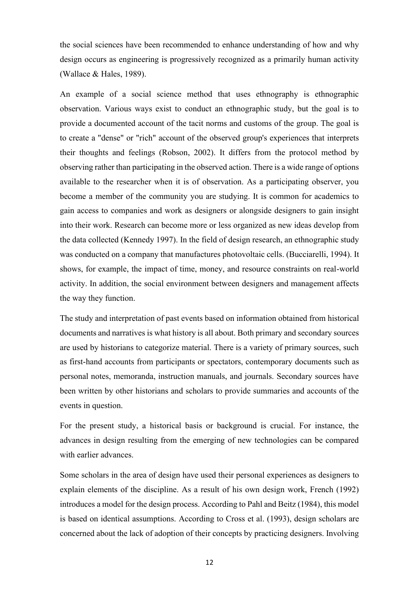the social sciences have been recommended to enhance understanding of how and why design occurs as engineering is progressively recognized as a primarily human activity (Wallace & Hales, 1989).

An example of a social science method that uses ethnography is ethnographic observation. Various ways exist to conduct an ethnographic study, but the goal is to provide a documented account of the tacit norms and customs of the group. The goal is to create a "dense" or "rich" account of the observed group's experiences that interprets their thoughts and feelings (Robson, 2002). It differs from the protocol method by observing rather than participating in the observed action. There is a wide range of options available to the researcher when it is of observation. As a participating observer, you become a member of the community you are studying. It is common for academics to gain access to companies and work as designers or alongside designers to gain insight into their work. Research can become more or less organized as new ideas develop from the data collected (Kennedy 1997). In the field of design research, an ethnographic study was conducted on a company that manufactures photovoltaic cells. (Bucciarelli, 1994). It shows, for example, the impact of time, money, and resource constraints on real-world activity. In addition, the social environment between designers and management affects the way they function.

The study and interpretation of past events based on information obtained from historical documents and narratives is what history is all about. Both primary and secondary sources are used by historians to categorize material. There is a variety of primary sources, such as first-hand accounts from participants or spectators, contemporary documents such as personal notes, memoranda, instruction manuals, and journals. Secondary sources have been written by other historians and scholars to provide summaries and accounts of the events in question.

For the present study, a historical basis or background is crucial. For instance, the advances in design resulting from the emerging of new technologies can be compared with earlier advances.

Some scholars in the area of design have used their personal experiences as designers to explain elements of the discipline. As a result of his own design work, French (1992) introduces a model for the design process. According to Pahl and Beitz (1984), this model is based on identical assumptions. According to Cross et al. (1993), design scholars are concerned about the lack of adoption of their concepts by practicing designers. Involving

12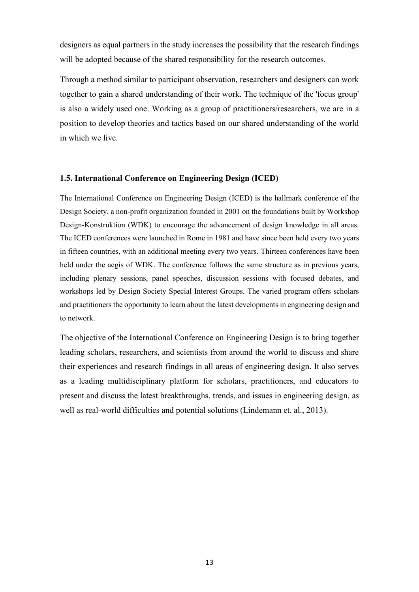designers as equal partners in the study increases the possibility that the research findings will be adopted because of the shared responsibility for the research outcomes.

Through a method similar to participant observation, researchers and designers can work together to gain a shared understanding of their work. The technique of the 'focus group' is also a widely used one. Working as a group of practitioners/researchers, we are in a position to develop theories and tactics based on our shared understanding of the world in which we live.

#### <span id="page-18-0"></span>**1.5. International Conference on Engineering Design (ICED)**

The International Conference on Engineering Design (ICED) is the hallmark conference of the Design Society, a non-profit organization founded in 2001 on the foundations built by Workshop Design-Konstruktion (WDK) to encourage the advancement of design knowledge in all areas. The ICED conferences were launched in Rome in 1981 and have since been held every two years in fifteen countries, with an additional meeting every two years. Thirteen conferences have been held under the aegis of WDK. The conference follows the same structure as in previous years, including plenary sessions, panel speeches, discussion sessions with focused debates, and workshops led by Design Society Special Interest Groups. The varied program offers scholars and practitioners the opportunity to learn about the latest developments in engineering design and to network.

The objective of the International Conference on Engineering Design is to bring together leading scholars, researchers, and scientists from around the world to discuss and share their experiences and research findings in all areas of engineering design. It also serves as a leading multidisciplinary platform for scholars, practitioners, and educators to present and discuss the latest breakthroughs, trends, and issues in engineering design, as well as real-world difficulties and potential solutions (Lindemann et. al., 2013).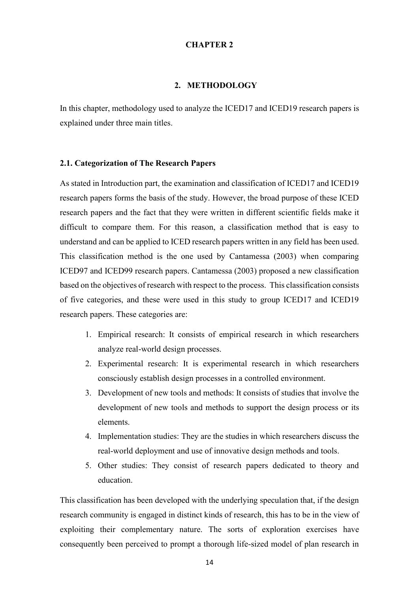#### **CHAPTER 2**

#### **2. METHODOLOGY**

<span id="page-19-0"></span>In this chapter, methodology used to analyze the ICED17 and ICED19 research papers is explained under three main titles.

#### **2.1. Categorization of The Research Papers**

As stated in Introduction part, the examination and classification of ICED17 and ICED19 research papers forms the basis of the study. However, the broad purpose of these ICED research papers and the fact that they were written in different scientific fields make it difficult to compare them. For this reason, a classification method that is easy to understand and can be applied to ICED research papers written in any field has been used. This classification method is the one used by Cantamessa (2003) when comparing ICED97 and ICED99 research papers. Cantamessa (2003) proposed a new classification based on the objectives of research with respect to the process. This classification consists of five categories, and these were used in this study to group ICED17 and ICED19 research papers. These categories are:

- 1. Empirical research: It consists of empirical research in which researchers analyze real-world design processes.
- 2. Experimental research: It is experimental research in which researchers consciously establish design processes in a controlled environment.
- 3. Development of new tools and methods: It consists of studies that involve the development of new tools and methods to support the design process or its elements.
- 4. Implementation studies: They are the studies in which researchers discuss the real-world deployment and use of innovative design methods and tools.
- 5. Other studies: They consist of research papers dedicated to theory and education.

This classification has been developed with the underlying speculation that, if the design research community is engaged in distinct kinds of research, this has to be in the view of exploiting their complementary nature. The sorts of exploration exercises have consequently been perceived to prompt a thorough life-sized model of plan research in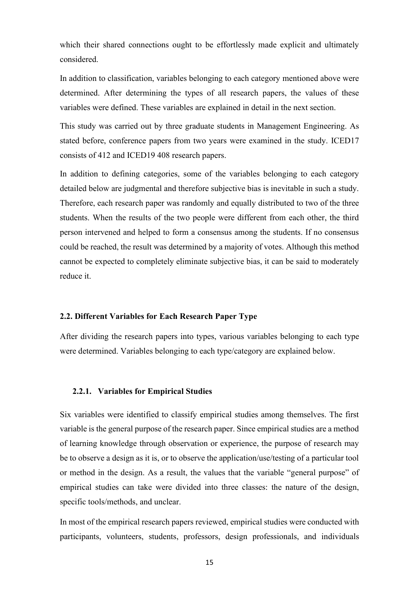which their shared connections ought to be effortlessly made explicit and ultimately considered.

In addition to classification, variables belonging to each category mentioned above were determined. After determining the types of all research papers, the values of these variables were defined. These variables are explained in detail in the next section.

This study was carried out by three graduate students in Management Engineering. As stated before, conference papers from two years were examined in the study. ICED17 consists of 412 and ICED19 408 research papers.

In addition to defining categories, some of the variables belonging to each category detailed below are judgmental and therefore subjective bias is inevitable in such a study. Therefore, each research paper was randomly and equally distributed to two of the three students. When the results of the two people were different from each other, the third person intervened and helped to form a consensus among the students. If no consensus could be reached, the result was determined by a majority of votes. Although this method cannot be expected to completely eliminate subjective bias, it can be said to moderately reduce it.

#### <span id="page-20-0"></span>**2.2. Different Variables for Each Research Paper Type**

<span id="page-20-1"></span>After dividing the research papers into types, various variables belonging to each type were determined. Variables belonging to each type/category are explained below.

#### **2.2.1. Variables for Empirical Studies**

Six variables were identified to classify empirical studies among themselves. The first variable is the general purpose of the research paper. Since empirical studies are a method of learning knowledge through observation or experience, the purpose of research may be to observe a design as it is, or to observe the application/use/testing of a particular tool or method in the design. As a result, the values that the variable "general purpose" of empirical studies can take were divided into three classes: the nature of the design, specific tools/methods, and unclear.

In most of the empirical research papers reviewed, empirical studies were conducted with participants, volunteers, students, professors, design professionals, and individuals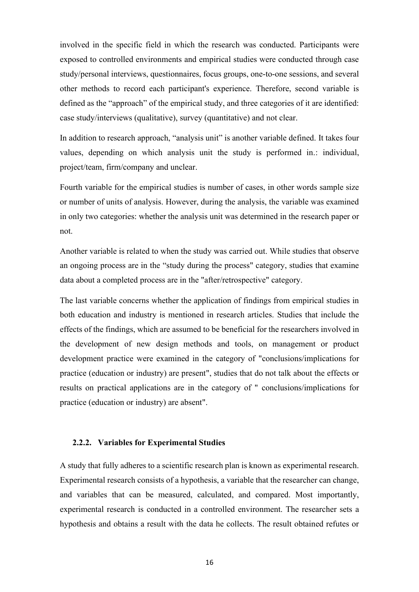involved in the specific field in which the research was conducted. Participants were exposed to controlled environments and empirical studies were conducted through case study/personal interviews, questionnaires, focus groups, one-to-one sessions, and several other methods to record each participant's experience. Therefore, second variable is defined as the "approach" of the empirical study, and three categories of it are identified: case study/interviews (qualitative), survey (quantitative) and not clear.

In addition to research approach, "analysis unit" is another variable defined. It takes four values, depending on which analysis unit the study is performed in.: individual, project/team, firm/company and unclear.

Fourth variable for the empirical studies is number of cases, in other words sample size or number of units of analysis. However, during the analysis, the variable was examined in only two categories: whether the analysis unit was determined in the research paper or not.

Another variable is related to when the study was carried out. While studies that observe an ongoing process are in the "study during the process" category, studies that examine data about a completed process are in the "after/retrospective" category.

The last variable concerns whether the application of findings from empirical studies in both education and industry is mentioned in research articles. Studies that include the effects of the findings, which are assumed to be beneficial for the researchers involved in the development of new design methods and tools, on management or product development practice were examined in the category of "conclusions/implications for practice (education or industry) are present", studies that do not talk about the effects or results on practical applications are in the category of " conclusions/implications for practice (education or industry) are absent".

#### <span id="page-21-0"></span>**2.2.2. Variables for Experimental Studies**

A study that fully adheres to a scientific research plan is known as experimental research. Experimental research consists of a hypothesis, a variable that the researcher can change, and variables that can be measured, calculated, and compared. Most importantly, experimental research is conducted in a controlled environment. The researcher sets a hypothesis and obtains a result with the data he collects. The result obtained refutes or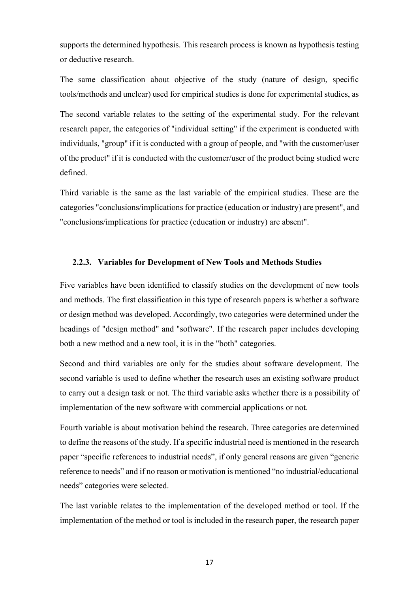supports the determined hypothesis. This research process is known as hypothesis testing or deductive research.

The same classification about objective of the study (nature of design, specific tools/methods and unclear) used for empirical studies is done for experimental studies, as

The second variable relates to the setting of the experimental study. For the relevant research paper, the categories of "individual setting" if the experiment is conducted with individuals, "group" if it is conducted with a group of people, and "with the customer/user of the product" if it is conducted with the customer/user of the product being studied were defined.

<span id="page-22-0"></span>Third variable is the same as the last variable of the empirical studies. These are the categories "conclusions/implications for practice (education or industry) are present", and "conclusions/implications for practice (education or industry) are absent".

#### **2.2.3. Variables for Development of New Tools and Methods Studies**

Five variables have been identified to classify studies on the development of new tools and methods. The first classification in this type of research papers is whether a software or design method was developed. Accordingly, two categories were determined under the headings of "design method" and "software". If the research paper includes developing both a new method and a new tool, it is in the "both" categories.

Second and third variables are only for the studies about software development. The second variable is used to define whether the research uses an existing software product to carry out a design task or not. The third variable asks whether there is a possibility of implementation of the new software with commercial applications or not.

Fourth variable is about motivation behind the research. Three categories are determined to define the reasons of the study. If a specific industrial need is mentioned in the research paper "specific references to industrial needs", if only general reasons are given "generic reference to needs" and if no reason or motivation is mentioned "no industrial/educational needs" categories were selected.

The last variable relates to the implementation of the developed method or tool. If the implementation of the method or tool is included in the research paper, the research paper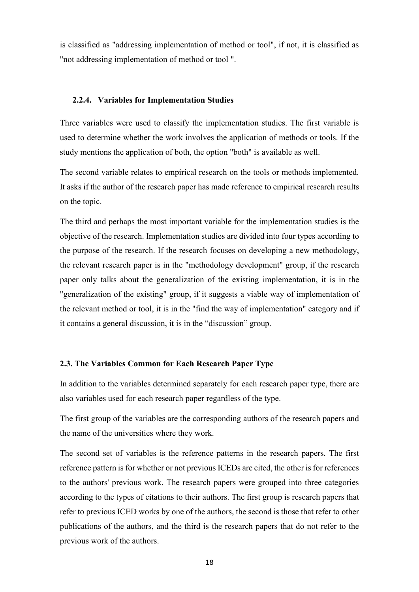<span id="page-23-0"></span>is classified as "addressing implementation of method or tool", if not, it is classified as "not addressing implementation of method or tool ".

#### **2.2.4. Variables for Implementation Studies**

Three variables were used to classify the implementation studies. The first variable is used to determine whether the work involves the application of methods or tools. If the study mentions the application of both, the option "both" is available as well.

The second variable relates to empirical research on the tools or methods implemented. It asks if the author of the research paper has made reference to empirical research results on the topic.

The third and perhaps the most important variable for the implementation studies is the objective of the research. Implementation studies are divided into four types according to the purpose of the research. If the research focuses on developing a new methodology, the relevant research paper is in the "methodology development" group, if the research paper only talks about the generalization of the existing implementation, it is in the "generalization of the existing" group, if it suggests a viable way of implementation of the relevant method or tool, it is in the "find the way of implementation" category and if it contains a general discussion, it is in the "discussion" group.

#### <span id="page-23-1"></span>**2.3. The Variables Common for Each Research Paper Type**

In addition to the variables determined separately for each research paper type, there are also variables used for each research paper regardless of the type.

The first group of the variables are the corresponding authors of the research papers and the name of the universities where they work.

The second set of variables is the reference patterns in the research papers. The first reference pattern is for whether or not previous ICEDs are cited, the other is for references to the authors' previous work. The research papers were grouped into three categories according to the types of citations to their authors. The first group is research papers that refer to previous ICED works by one of the authors, the second is those that refer to other publications of the authors, and the third is the research papers that do not refer to the previous work of the authors.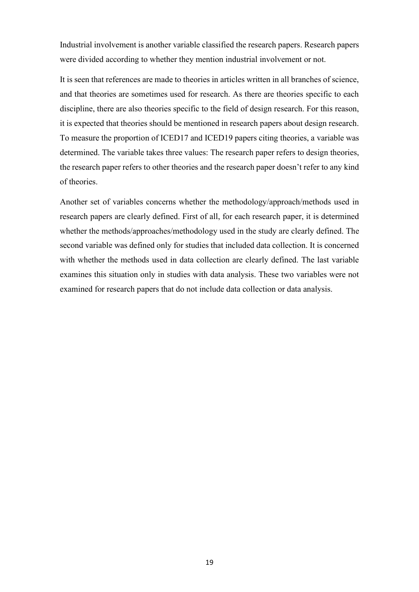Industrial involvement is another variable classified the research papers. Research papers were divided according to whether they mention industrial involvement or not.

It is seen that references are made to theories in articles written in all branches of science, and that theories are sometimes used for research. As there are theories specific to each discipline, there are also theories specific to the field of design research. For this reason, it is expected that theories should be mentioned in research papers about design research. To measure the proportion of ICED17 and ICED19 papers citing theories, a variable was determined. The variable takes three values: The research paper refers to design theories, the research paper refers to other theories and the research paper doesn't refer to any kind of theories.

Another set of variables concerns whether the methodology/approach/methods used in research papers are clearly defined. First of all, for each research paper, it is determined whether the methods/approaches/methodology used in the study are clearly defined. The second variable was defined only for studies that included data collection. It is concerned with whether the methods used in data collection are clearly defined. The last variable examines this situation only in studies with data analysis. These two variables were not examined for research papers that do not include data collection or data analysis.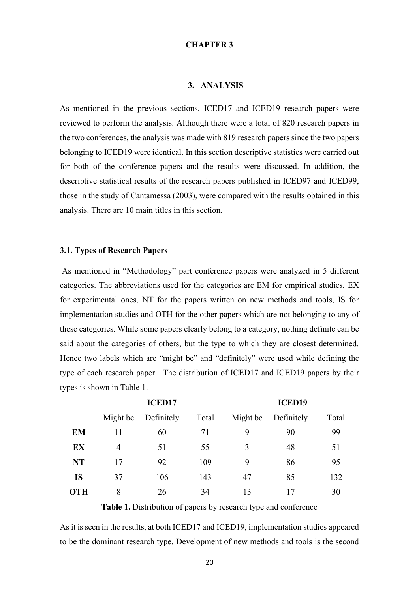#### **CHAPTER 3**

#### **3. ANALYSIS**

<span id="page-25-0"></span>As mentioned in the previous sections, ICED17 and ICED19 research papers were reviewed to perform the analysis. Although there were a total of 820 research papers in the two conferences, the analysis was made with 819 research papers since the two papers belonging to ICED19 were identical. In this section descriptive statistics were carried out for both of the conference papers and the results were discussed. In addition, the descriptive statistical results of the research papers published in ICED97 and ICED99, those in the study of Cantamessa (2003), were compared with the results obtained in this analysis. There are 10 main titles in this section.

#### <span id="page-25-1"></span>**3.1. Types of Research Papers**

As mentioned in "Methodology" part conference papers were analyzed in 5 different categories. The abbreviations used for the categories are EM for empirical studies, EX for experimental ones, NT for the papers written on new methods and tools, IS for implementation studies and OTH for the other papers which are not belonging to any of these categories. While some papers clearly belong to a category, nothing definite can be said about the categories of others, but the type to which they are closest determined. Hence two labels which are "might be" and "definitely" were used while defining the type of each research paper. The distribution of ICED17 and ICED19 papers by their types is shown in Table 1.

|            |                | <b>ICED17</b> |       |          | <b>ICED19</b> |       |
|------------|----------------|---------------|-------|----------|---------------|-------|
|            | Might be       | Definitely    | Total | Might be | Definitely    | Total |
| <b>EM</b>  |                | 60            | 71    | 9        | 90            | 99    |
| EX         | $\overline{4}$ | 51            | 55    | 3        | 48            | 51    |
| <b>NT</b>  | 17             | 92            | 109   | 9        | 86            | 95    |
| <b>IS</b>  | 37             | 106           | 143   | 47       | 85            | 132   |
| <b>OTH</b> | 8              | 26            | 34    | 13       | 17            | 30    |

**Table 1.** Distribution of papers by research type and conference

As it is seen in the results, at both ICED17 and ICED19, implementation studies appeared to be the dominant research type. Development of new methods and tools is the second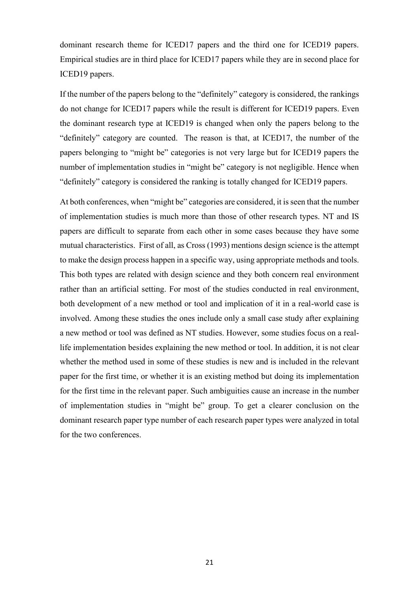dominant research theme for ICED17 papers and the third one for ICED19 papers. Empirical studies are in third place for ICED17 papers while they are in second place for ICED19 papers.

If the number of the papers belong to the "definitely" category is considered, the rankings do not change for ICED17 papers while the result is different for ICED19 papers. Even the dominant research type at ICED19 is changed when only the papers belong to the "definitely" category are counted. The reason is that, at ICED17, the number of the papers belonging to "might be" categories is not very large but for ICED19 papers the number of implementation studies in "might be" category is not negligible. Hence when "definitely" category is considered the ranking is totally changed for ICED19 papers.

At both conferences, when "might be" categories are considered, it is seen that the number of implementation studies is much more than those of other research types. NT and IS papers are difficult to separate from each other in some cases because they have some mutual characteristics. First of all, as Cross (1993) mentions design science is the attempt to make the design process happen in a specific way, using appropriate methods and tools. This both types are related with design science and they both concern real environment rather than an artificial setting. For most of the studies conducted in real environment, both development of a new method or tool and implication of it in a real-world case is involved. Among these studies the ones include only a small case study after explaining a new method or tool was defined as NT studies. However, some studies focus on a reallife implementation besides explaining the new method or tool. In addition, it is not clear whether the method used in some of these studies is new and is included in the relevant paper for the first time, or whether it is an existing method but doing its implementation for the first time in the relevant paper. Such ambiguities cause an increase in the number of implementation studies in "might be" group. To get a clearer conclusion on the dominant research paper type number of each research paper types were analyzed in total for the two conferences.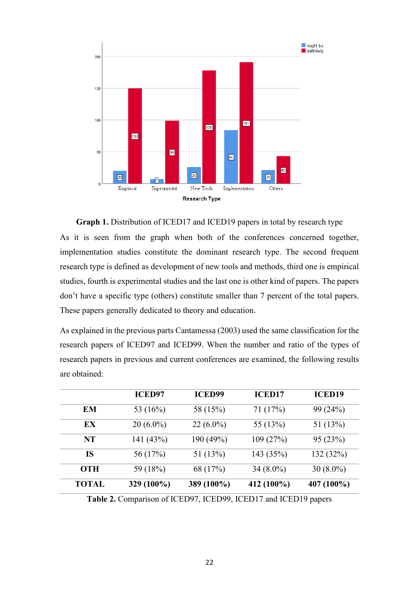

**Graph 1.** Distribution of ICED17 and ICED19 papers in total by research type As it is seen from the graph when both of the conferences concerned together, implementation studies constitute the dominant research type. The second frequent research type is defined as development of new tools and methods, third one is empirical studies, fourth is experimental studies and the last one is other kind of papers. The papers don't have a specific type (others) constitute smaller than 7 percent of the total papers. These papers generally dedicated to theory and education.

As explained in the previous parts Cantamessa (2003) used the same classification for the research papers of ICED97 and ICED99. When the number and ratio of the types of research papers in previous and current conferences are examined, the following results are obtained:

|              | <b>ICED97</b> | <b>ICED99</b> | <b>ICED17</b> | <b>ICED19</b> |
|--------------|---------------|---------------|---------------|---------------|
| EM           | 53 (16%)      | 58 (15%)      | 71 (17%)      | 99 (24%)      |
| EX.          | $20(6.0\%)$   | $22(6.0\%)$   | 55 (13%)      | 51 $(13%)$    |
| NT           | 141 (43%)     | 190 (49%)     | 109(27%)      | 95 (23%)      |
| IS           | 56 (17%)      | 51 $(13%)$    | 143 (35%)     | 132 (32%)     |
| <b>OTH</b>   | 59 (18%)      | 68 (17%)      | $34(8.0\%)$   | $30(8.0\%)$   |
| <b>TOTAL</b> | 329 (100%)    | 389 (100%)    | 412 (100%)    | 407 (100%)    |

**Table 2.** Comparison of ICED97, ICED99, ICED17 and ICED19 papers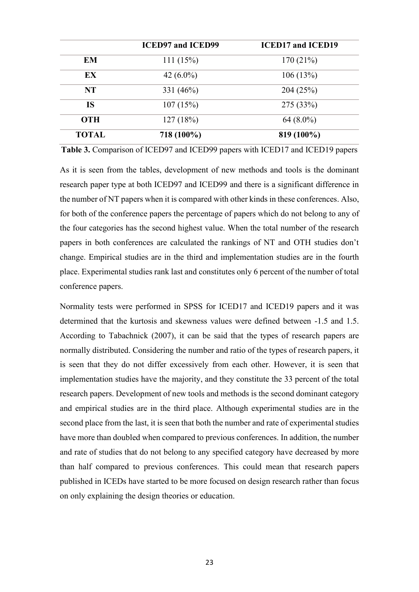|              | <b>ICED97 and ICED99</b> | <b>ICED17 and ICED19</b> |
|--------------|--------------------------|--------------------------|
| EM           | 111(15%)                 | 170(21%)                 |
| EX           | 42 $(6.0\%)$             | 106(13%)                 |
| <b>NT</b>    | 331 $(46%)$              | 204(25%)                 |
| <b>IS</b>    | 107(15%)                 | 275 (33%)                |
| <b>OTH</b>   | 127(18%)                 | $64(8.0\%)$              |
| <b>TOTAL</b> | 718 (100%)               | 819 (100%)               |

**Table 3.** Comparison of ICED97 and ICED99 papers with ICED17 and ICED19 papers

As it is seen from the tables, development of new methods and tools is the dominant research paper type at both ICED97 and ICED99 and there is a significant difference in the number of NT papers when it is compared with other kinds in these conferences. Also, for both of the conference papers the percentage of papers which do not belong to any of the four categories has the second highest value. When the total number of the research papers in both conferences are calculated the rankings of NT and OTH studies don't change. Empirical studies are in the third and implementation studies are in the fourth place. Experimental studies rank last and constitutes only 6 percent of the number of total conference papers.

Normality tests were performed in SPSS for ICED17 and ICED19 papers and it was determined that the kurtosis and skewness values were defined between -1.5 and 1.5. According to Tabachnick (2007), it can be said that the types of research papers are normally distributed. Considering the number and ratio of the types of research papers, it is seen that they do not differ excessively from each other. However, it is seen that implementation studies have the majority, and they constitute the 33 percent of the total research papers. Development of new tools and methods is the second dominant category and empirical studies are in the third place. Although experimental studies are in the second place from the last, it is seen that both the number and rate of experimental studies have more than doubled when compared to previous conferences. In addition, the number and rate of studies that do not belong to any specified category have decreased by more than half compared to previous conferences. This could mean that research papers published in ICEDs have started to be more focused on design research rather than focus on only explaining the design theories or education.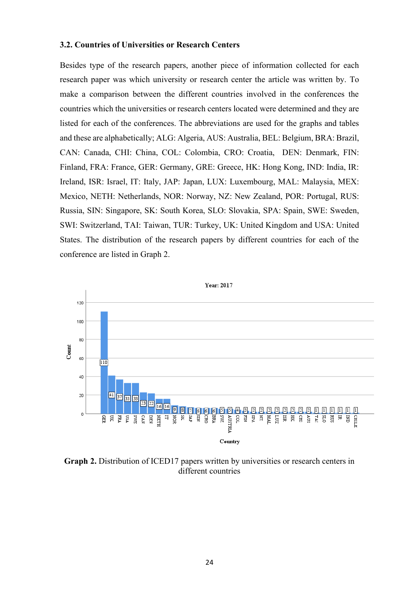#### <span id="page-29-0"></span>**3.2. Countries of Universities or Research Centers**

Besides type of the research papers, another piece of information collected for each research paper was which university or research center the article was written by. To make a comparison between the different countries involved in the conferences the countries which the universities or research centers located were determined and they are listed for each of the conferences. The abbreviations are used for the graphs and tables and these are alphabetically; ALG: Algeria, AUS: Australia, BEL: Belgium, BRA: Brazil, CAN: Canada, CHI: China, COL: Colombia, CRO: Croatia, DEN: Denmark, FIN: Finland, FRA: France, GER: Germany, GRE: Greece, HK: Hong Kong, IND: India, IR: Ireland, ISR: Israel, IT: Italy, JAP: Japan, LUX: Luxembourg, MAL: Malaysia, MEX: Mexico, NETH: Netherlands, NOR: Norway, NZ: New Zealand, POR: Portugal, RUS: Russia, SIN: Singapore, SK: South Korea, SLO: Slovakia, SPA: Spain, SWE: Sweden, SWI: Switzerland, TAI: Taiwan, TUR: Turkey, UK: United Kingdom and USA: United States. The distribution of the research papers by different countries for each of the conference are listed in Graph 2.



**Graph 2.** Distribution of ICED17 papers written by universities or research centers in different countries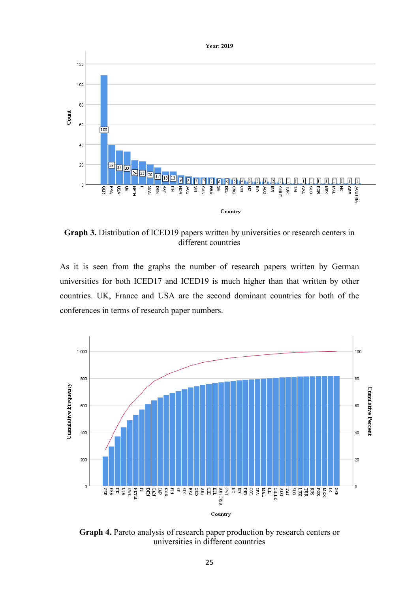

**Graph 3.** Distribution of ICED19 papers written by universities or research centers in different countries

As it is seen from the graphs the number of research papers written by German universities for both ICED17 and ICED19 is much higher than that written by other countries. UK, France and USA are the second dominant countries for both of the conferences in terms of research paper numbers.



**Graph 4.** Pareto analysis of research paper production by research centers or universities in different countries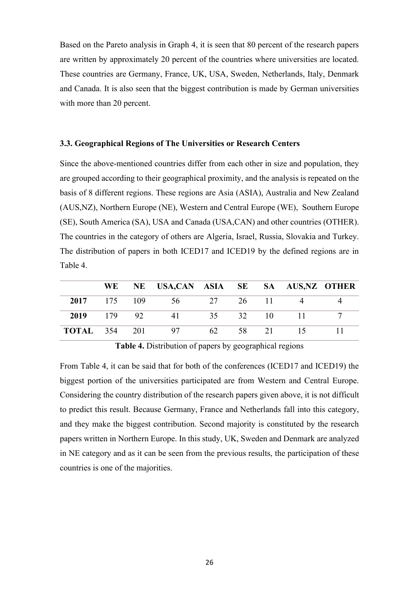Based on the Pareto analysis in Graph 4, it is seen that 80 percent of the research papers are written by approximately 20 percent of the countries where universities are located. These countries are Germany, France, UK, USA, Sweden, Netherlands, Italy, Denmark and Canada. It is also seen that the biggest contribution is made by German universities with more than 20 percent.

#### <span id="page-31-0"></span>**3.3. Geographical Regions of The Universities or Research Centers**

Since the above-mentioned countries differ from each other in size and population, they are grouped according to their geographical proximity, and the analysis is repeated on the basis of 8 different regions. These regions are Asia (ASIA), Australia and New Zealand (AUS,NZ), Northern Europe (NE), Western and Central Europe (WE), Southern Europe (SE), South America (SA), USA and Canada (USA,CAN) and other countries (OTHER). The countries in the category of others are Algeria, Israel, Russia, Slovakia and Turkey. The distribution of papers in both ICED17 and ICED19 by the defined regions are in Table 4.

|                      | WE - | NE USA,CAN ASIA SE SA AUS,NZ OTHER |             |       |     |  |
|----------------------|------|------------------------------------|-------------|-------|-----|--|
| 2017 175 109         |      | 56                                 | 27 26 11    |       |     |  |
| 2019 179 92          |      | 41                                 | 35 32 10 11 |       |     |  |
| <b>TOTAL</b> 354 201 |      | 97                                 | 62.         | 58 21 | 15. |  |

**Table 4.** Distribution of papers by geographical regions

From Table 4, it can be said that for both of the conferences (ICED17 and ICED19) the biggest portion of the universities participated are from Western and Central Europe. Considering the country distribution of the research papers given above, it is not difficult to predict this result. Because Germany, France and Netherlands fall into this category, and they make the biggest contribution. Second majority is constituted by the research papers written in Northern Europe. In this study, UK, Sweden and Denmark are analyzed in NE category and as it can be seen from the previous results, the participation of these countries is one of the majorities.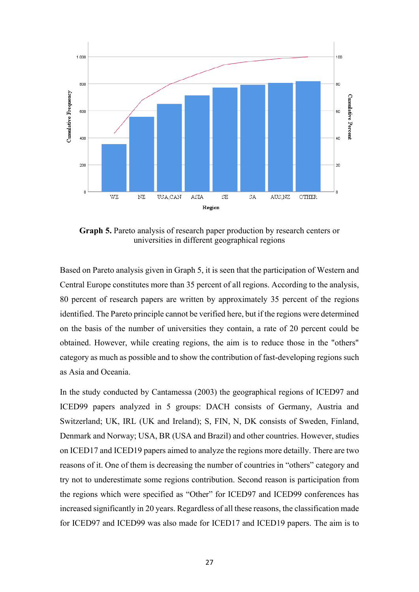

**Graph 5.** Pareto analysis of research paper production by research centers or universities in different geographical regions

Based on Pareto analysis given in Graph 5, it is seen that the participation of Western and Central Europe constitutes more than 35 percent of all regions. According to the analysis, 80 percent of research papers are written by approximately 35 percent of the regions identified. The Pareto principle cannot be verified here, but if the regions were determined on the basis of the number of universities they contain, a rate of 20 percent could be obtained. However, while creating regions, the aim is to reduce those in the "others" category as much as possible and to show the contribution of fast-developing regions such as Asia and Oceania.

In the study conducted by Cantamessa (2003) the geographical regions of ICED97 and ICED99 papers analyzed in 5 groups: DACH consists of Germany, Austria and Switzerland; UK, IRL (UK and Ireland); S, FIN, N, DK consists of Sweden, Finland, Denmark and Norway; USA, BR (USA and Brazil) and other countries. However, studies on ICED17 and ICED19 papers aimed to analyze the regions more detailly. There are two reasons of it. One of them is decreasing the number of countries in "others" category and try not to underestimate some regions contribution. Second reason is participation from the regions which were specified as "Other" for ICED97 and ICED99 conferences has increased significantly in 20 years. Regardless of all these reasons, the classification made for ICED97 and ICED99 was also made for ICED17 and ICED19 papers. The aim is to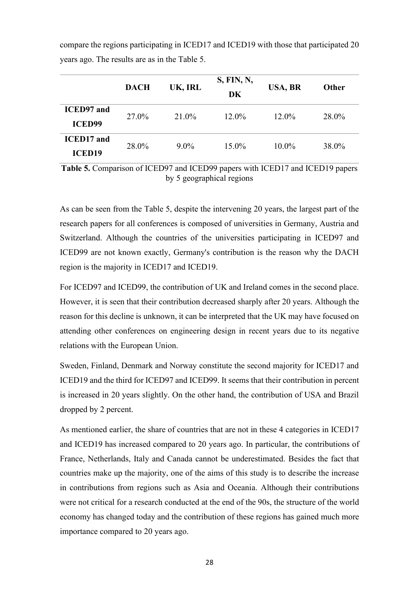|                                    | <b>DACH</b> | UK, IRL | S, FIN, N,<br>DK | USA, BR  | Other |
|------------------------------------|-------------|---------|------------------|----------|-------|
| <b>ICED97</b> and<br><b>ICED99</b> | 27.0%       | 21.0%   | $12.0\%$         | $12.0\%$ | 28.0% |
| <b>ICED17</b> and<br><b>ICED19</b> | 28.0%       | $9.0\%$ | $15.0\%$         | $10.0\%$ | 38.0% |

compare the regions participating in ICED17 and ICED19 with those that participated 20 years ago. The results are as in the Table 5.

**Table 5.** Comparison of ICED97 and ICED99 papers with ICED17 and ICED19 papers by 5 geographical regions

As can be seen from the Table 5, despite the intervening 20 years, the largest part of the research papers for all conferences is composed of universities in Germany, Austria and Switzerland. Although the countries of the universities participating in ICED97 and ICED99 are not known exactly, Germany's contribution is the reason why the DACH region is the majority in ICED17 and ICED19.

For ICED97 and ICED99, the contribution of UK and Ireland comes in the second place. However, it is seen that their contribution decreased sharply after 20 years. Although the reason for this decline is unknown, it can be interpreted that the UK may have focused on attending other conferences on engineering design in recent years due to its negative relations with the European Union.

Sweden, Finland, Denmark and Norway constitute the second majority for ICED17 and ICED19 and the third for ICED97 and ICED99. It seems that their contribution in percent is increased in 20 years slightly. On the other hand, the contribution of USA and Brazil dropped by 2 percent.

As mentioned earlier, the share of countries that are not in these 4 categories in ICED17 and ICED19 has increased compared to 20 years ago. In particular, the contributions of France, Netherlands, Italy and Canada cannot be underestimated. Besides the fact that countries make up the majority, one of the aims of this study is to describe the increase in contributions from regions such as Asia and Oceania. Although their contributions were not critical for a research conducted at the end of the 90s, the structure of the world economy has changed today and the contribution of these regions has gained much more importance compared to 20 years ago.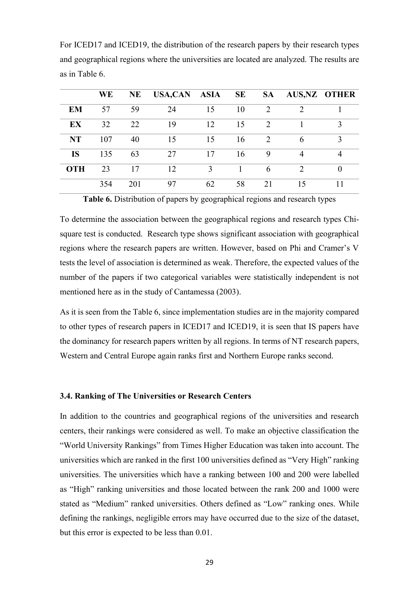|            | WE  | <b>NE</b> | USA,CAN ASIA |    | SE | <b>SA</b> |               | <b>AUS, NZ OTHER</b> |
|------------|-----|-----------|--------------|----|----|-----------|---------------|----------------------|
| <b>EM</b>  | 57  | 59        | 24           | 15 | 10 | 2         | $\mathcal{D}$ |                      |
| EX         | 32  | 22        | 19           | 12 | 15 | 2         |               | 3                    |
| <b>NT</b>  | 107 | 40        | 15           | 15 | 16 | 2         | 6             | 3                    |
| <b>IS</b>  | 135 | 63        | 27           | 17 | 16 | 9         |               | 4                    |
| <b>OTH</b> | 23  | 17        | 12           | 3  |    | 6         | $\mathcal{D}$ | $\Omega$             |
|            | 354 | 201       | 97           | 62 | 58 | 21        | 15            |                      |

For ICED17 and ICED19, the distribution of the research papers by their research types and geographical regions where the universities are located are analyzed. The results are as in Table 6.

**Table 6.** Distribution of papers by geographical regions and research types

To determine the association between the geographical regions and research types Chisquare test is conducted. Research type shows significant association with geographical regions where the research papers are written. However, based on Phi and Cramer's V tests the level of association is determined as weak. Therefore, the expected values of the number of the papers if two categorical variables were statistically independent is not mentioned here as in the study of Cantamessa (2003).

As it is seen from the Table 6, since implementation studies are in the majority compared to other types of research papers in ICED17 and ICED19, it is seen that IS papers have the dominancy for research papers written by all regions. In terms of NT research papers, Western and Central Europe again ranks first and Northern Europe ranks second.

#### <span id="page-34-0"></span>**3.4. Ranking of The Universities or Research Centers**

In addition to the countries and geographical regions of the universities and research centers, their rankings were considered as well. To make an objective classification the "World University Rankings" from Times Higher Education was taken into account. The universities which are ranked in the first 100 universities defined as "Very High" ranking universities. The universities which have a ranking between 100 and 200 were labelled as "High" ranking universities and those located between the rank 200 and 1000 were stated as "Medium" ranked universities. Others defined as "Low" ranking ones. While defining the rankings, negligible errors may have occurred due to the size of the dataset, but this error is expected to be less than 0.01.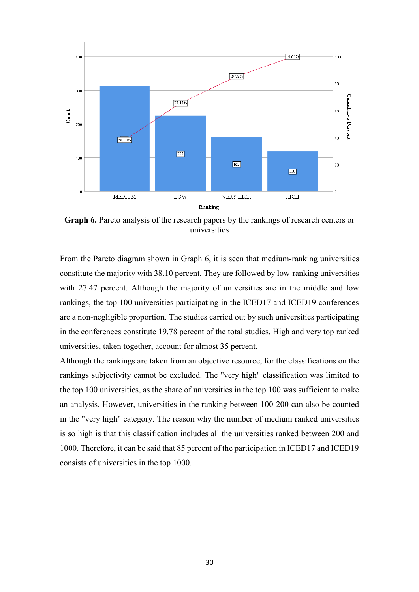

**Graph 6.** Pareto analysis of the research papers by the rankings of research centers or universities

From the Pareto diagram shown in Graph 6, it is seen that medium-ranking universities constitute the majority with 38.10 percent. They are followed by low-ranking universities with 27.47 percent. Although the majority of universities are in the middle and low rankings, the top 100 universities participating in the ICED17 and ICED19 conferences are a non-negligible proportion. The studies carried out by such universities participating in the conferences constitute 19.78 percent of the total studies. High and very top ranked universities, taken together, account for almost 35 percent.

Although the rankings are taken from an objective resource, for the classifications on the rankings subjectivity cannot be excluded. The "very high" classification was limited to the top 100 universities, as the share of universities in the top 100 was sufficient to make an analysis. However, universities in the ranking between 100-200 can also be counted in the "very high" category. The reason why the number of medium ranked universities is so high is that this classification includes all the universities ranked between 200 and 1000. Therefore, it can be said that 85 percent of the participation in ICED17 and ICED19 consists of universities in the top 1000.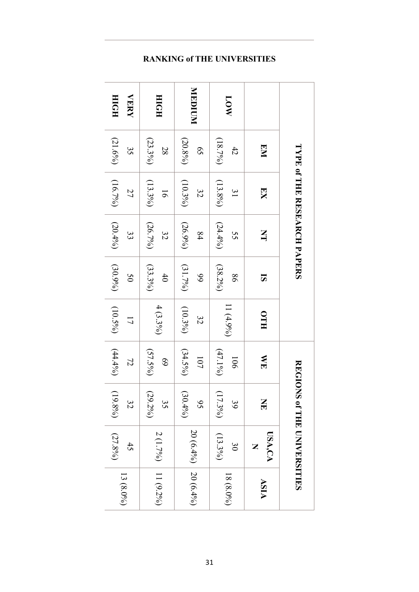|                            |                             | <b>LAPE CHEREARCH PAPERS</b>  |                  |                  |                               |                          |                  | REGIONS of THE UNIVERSITIES  |             |
|----------------------------|-----------------------------|-------------------------------|------------------|------------------|-------------------------------|--------------------------|------------------|------------------------------|-------------|
|                            | EM                          | $\overline{\text{K}}$         | $\mathbf{\Xi}$   | 5                | HTO                           | ME                       | $\mathbf{H}$     | USA,CA                       | ASIA        |
| NO <sub>1</sub>            | (18.7%)<br>42               | $(13.8\%)$<br>$\overline{31}$ | (24.496)<br>55   | $(38.2\%)$<br>98 | $11(4.9\%)$                   | $(47.1\%)$<br><b>106</b> | $(17.3\%)$<br>39 | $(13.3\%)$<br>$\mathfrak{S}$ | $18(8.0\%)$ |
| MUDICIN                    | $(20.8\%)$<br>$\mathcal{S}$ | $(10.3\%)$<br>32              | $(26.9\%)$<br>84 | (31.7%)<br>66    | $(10.3\%)$<br>32              | $(34.5\%)$<br>107        | $(30.4\%)$<br>95 | 20 (6.4%) 20 (6.4%)          |             |
| HDIH                       | $(23.3\%)$<br>28            | $(13.3\%)$<br>91              | $(26.7\%)$<br>32 | $(33.3\%)$<br>40 | $4(3.3\%)$                    | $(57.5\%)$<br>69         | $(29.2\%)$<br>35 | 2 (1.7%)   11 (9.2%)         |             |
| <b>VERY</b><br><b>HOIH</b> | $(21.6\%)$<br>35            | (16.7%)<br>27                 | $(20.4\%)$<br>33 | $(30.9\%)$<br>50 | $(10.5\%)$<br>$\overline{17}$ | $(44.4\%)$<br>72         | $(19.8\%)$<br>32 | $(27.8\%)$<br>45             | $13(8.0\%)$ |

## **RANKING of THE UNIVERSITIES**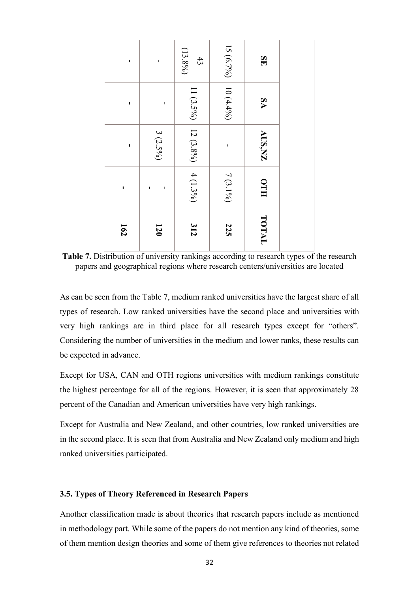| ٠              |                   | $(13.8\%)$<br>43    | 15 ( $6.7\%$ ) | SE         |  |
|----------------|-------------------|---------------------|----------------|------------|--|
| $\blacksquare$ | ı                 |                     | $10(4.4\%)$    | <b>SA</b>  |  |
| $\blacksquare$ | $3(2.5\%)$        | 11 (3.5%) 12 (3.8%) | ı              | AUS,NZ     |  |
| ı              | $\mathbf{I}$<br>ı | $ 4(1.3\%)$         | $7(3.1\%)$     | <b>HTO</b> |  |
| 162            | 120               | 312                 | <b>225</b>     | TOTAL      |  |

**Table 7.** Distribution of university rankings according to research types of the research papers and geographical regions where research centers/universities are located

As can be seen from the Table 7, medium ranked universities have the largest share of all types of research. Low ranked universities have the second place and universities with very high rankings are in third place for all research types except for "others". Considering the number of universities in the medium and lower ranks, these results can be expected in advance.

Except for USA, CAN and OTH regions universities with medium rankings constitute the highest percentage for all of the regions. However, it is seen that approximately 28 percent of the Canadian and American universities have very high rankings.

<span id="page-37-0"></span>Except for Australia and New Zealand, and other countries, low ranked universities are in the second place. It is seen that from Australia and New Zealand only medium and high ranked universities participated.

#### **3.5. Types of Theory Referenced in Research Papers**

Another classification made is about theories that research papers include as mentioned in methodology part. While some of the papers do not mention any kind of theories, some of them mention design theories and some of them give references to theories not related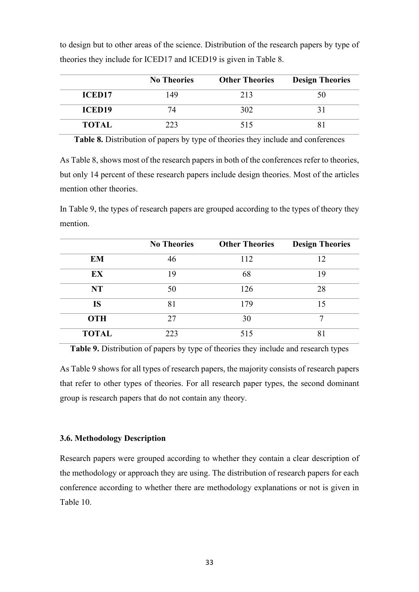|               | <b>No Theories</b> | <b>Other Theories</b> | <b>Design Theories</b> |
|---------------|--------------------|-----------------------|------------------------|
| <b>ICED17</b> | 149                | 213                   |                        |
| <b>ICED19</b> |                    | 302                   |                        |
| <b>TOTAL</b>  | 223                | 515                   |                        |

to design but to other areas of the science. Distribution of the research papers by type of theories they include for ICED17 and ICED19 is given in Table 8.

**Table 8.** Distribution of papers by type of theories they include and conferences

As Table 8, shows most of the research papers in both of the conferences refer to theories, but only 14 percent of these research papers include design theories. Most of the articles mention other theories.

In Table 9, the types of research papers are grouped according to the types of theory they mention.

|              | <b>No Theories</b> | <b>Other Theories</b> | <b>Design Theories</b> |
|--------------|--------------------|-----------------------|------------------------|
| EM           | 46                 | 112                   | 12                     |
| EX           | 19                 | 68                    | 19                     |
| <b>NT</b>    | 50                 | 126                   | 28                     |
| IS           | 81                 | 179                   | 15                     |
| <b>OTH</b>   | 27                 | 30                    | 7                      |
| <b>TOTAL</b> | 223                | 515                   | 8.                     |

**Table 9.** Distribution of papers by type of theories they include and research types

<span id="page-38-0"></span>As Table 9 shows for all types of research papers, the majority consists of research papers that refer to other types of theories. For all research paper types, the second dominant group is research papers that do not contain any theory.

#### **3.6. Methodology Description**

Research papers were grouped according to whether they contain a clear description of the methodology or approach they are using. The distribution of research papers for each conference according to whether there are methodology explanations or not is given in Table 10.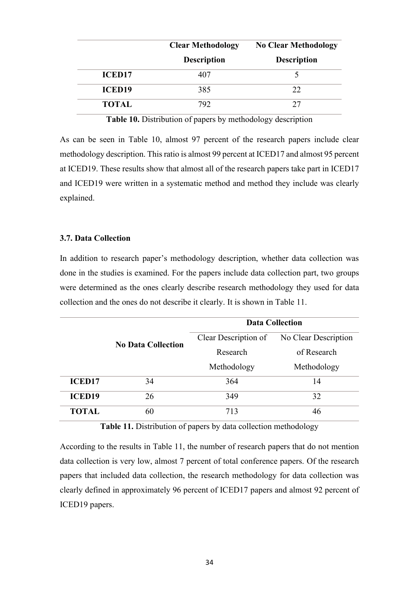|               | <b>Clear Methodology</b> | <b>No Clear Methodology</b> |
|---------------|--------------------------|-----------------------------|
|               | <b>Description</b>       | <b>Description</b>          |
| <b>ICED17</b> | 407                      |                             |
| <b>ICED19</b> | 385                      | 22                          |
| <b>TOTAL</b>  | 792                      | 27                          |

**Table 10.** Distribution of papers by methodology description

As can be seen in Table 10, almost 97 percent of the research papers include clear methodology description. This ratio is almost 99 percent at ICED17 and almost 95 percent at ICED19. These results show that almost all of the research papers take part in ICED17 and ICED19 were written in a systematic method and method they include was clearly explained.

#### <span id="page-39-0"></span>**3.7. Data Collection**

In addition to research paper's methodology description, whether data collection was done in the studies is examined. For the papers include data collection part, two groups were determined as the ones clearly describe research methodology they used for data collection and the ones do not describe it clearly. It is shown in Table 11.

|               |                           | <b>Data Collection</b> |                      |  |  |  |  |
|---------------|---------------------------|------------------------|----------------------|--|--|--|--|
|               | <b>No Data Collection</b> | Clear Description of   | No Clear Description |  |  |  |  |
|               |                           | Research               | of Research          |  |  |  |  |
|               |                           | Methodology            | Methodology          |  |  |  |  |
| <b>ICED17</b> | 34                        | 364                    | 14                   |  |  |  |  |
| <b>ICED19</b> | 26                        | 349                    | 32                   |  |  |  |  |
| <b>TOTAL</b>  | 60                        | 713                    | 46                   |  |  |  |  |

**Table 11.** Distribution of papers by data collection methodology

According to the results in Table 11, the number of research papers that do not mention data collection is very low, almost 7 percent of total conference papers. Of the research papers that included data collection, the research methodology for data collection was clearly defined in approximately 96 percent of ICED17 papers and almost 92 percent of ICED19 papers.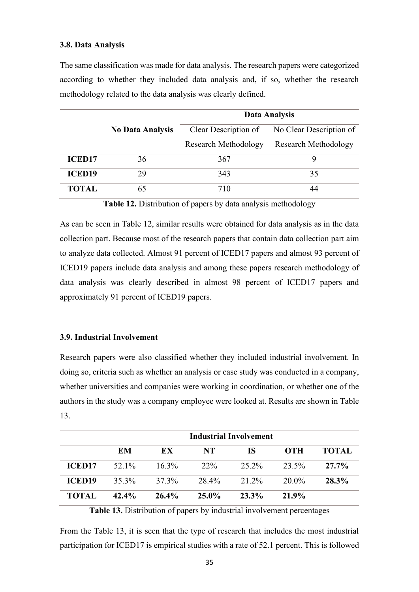#### <span id="page-40-0"></span>**3.8. Data Analysis**

The same classification was made for data analysis. The research papers were categorized according to whether they included data analysis and, if so, whether the research methodology related to the data analysis was clearly defined.

|               |                         |                             | Data Analysis           |
|---------------|-------------------------|-----------------------------|-------------------------|
|               | <b>No Data Analysis</b> | Clear Description of        | No Clear Description of |
|               |                         | <b>Research Methodology</b> | Research Methodology    |
| <b>ICED17</b> | 36                      | 367                         | 9                       |
| <b>ICED19</b> | 29                      | 343                         | 35                      |
| TOTAL         | 65                      | 710                         | 44                      |

**Table 12.** Distribution of papers by data analysis methodology

As can be seen in Table 12, similar results were obtained for data analysis as in the data collection part. Because most of the research papers that contain data collection part aim to analyze data collected. Almost 91 percent of ICED17 papers and almost 93 percent of ICED19 papers include data analysis and among these papers research methodology of data analysis was clearly described in almost 98 percent of ICED17 papers and approximately 91 percent of ICED19 papers.

#### <span id="page-40-1"></span>**3.9. Industrial Involvement**

Research papers were also classified whether they included industrial involvement. In doing so, criteria such as whether an analysis or case study was conducted in a company, whether universities and companies were working in coordination, or whether one of the authors in the study was a company employee were looked at. Results are shown in Table 13.

|               | <b>Industrial Involvement</b> |          |          |       |            |              |  |  |  |  |
|---------------|-------------------------------|----------|----------|-------|------------|--------------|--|--|--|--|
|               | EM                            | EX       | NT.      | IS.   | <b>OTH</b> | <b>TOTAL</b> |  |  |  |  |
| <b>ICED17</b> | 52.1%                         | $16.3\%$ | $22\%$   | 25.2% | 23.5%      | $27.7\%$     |  |  |  |  |
| <b>ICED19</b> | $35.3\%$                      | 37.3%    | 28.4%    | 21.2% | 20.0%      | 28.3%        |  |  |  |  |
| <b>TOTAL</b>  | $42.4\%$                      | $26.4\%$ | $25.0\%$ | 23.3% | 21.9%      |              |  |  |  |  |

**Table 13.** Distribution of papers by industrial involvement percentages

From the Table 13, it is seen that the type of research that includes the most industrial participation for ICED17 is empirical studies with a rate of 52.1 percent. This is followed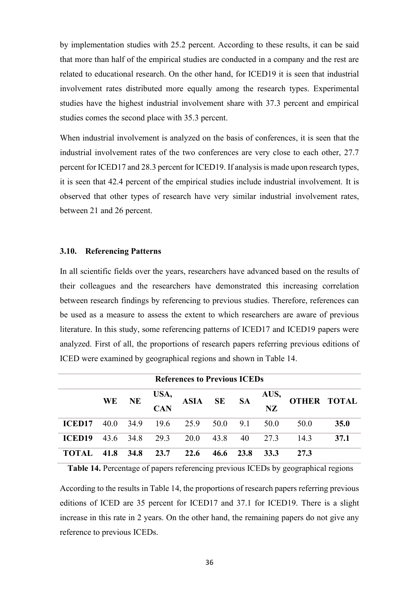by implementation studies with 25.2 percent. According to these results, it can be said that more than half of the empirical studies are conducted in a company and the rest are related to educational research. On the other hand, for ICED19 it is seen that industrial involvement rates distributed more equally among the research types. Experimental studies have the highest industrial involvement share with 37.3 percent and empirical studies comes the second place with 35.3 percent.

When industrial involvement is analyzed on the basis of conferences, it is seen that the industrial involvement rates of the two conferences are very close to each other, 27.7 percent for ICED17 and 28.3 percent for ICED19. If analysis is made upon research types, it is seen that 42.4 percent of the empirical studies include industrial involvement. It is observed that other types of research have very similar industrial involvement rates, between 21 and 26 percent.

#### <span id="page-41-0"></span>**3.10. Referencing Patterns**

In all scientific fields over the years, researchers have advanced based on the results of their colleagues and the researchers have demonstrated this increasing correlation between research findings by referencing to previous studies. Therefore, references can be used as a measure to assess the extent to which researchers are aware of previous literature. In this study, some referencing patterns of ICED17 and ICED19 papers were analyzed. First of all, the proportions of research papers referring previous editions of ICED were examined by geographical regions and shown in Table 14.

|               | <b>References to Previous ICEDs</b> |           |                    |             |           |           |            |      |                    |  |  |  |
|---------------|-------------------------------------|-----------|--------------------|-------------|-----------|-----------|------------|------|--------------------|--|--|--|
|               | <b>WE</b>                           | <b>NE</b> | USA,<br><b>CAN</b> | <b>ASIA</b> | <b>SE</b> | <b>SA</b> | AUS,<br>NZ |      | <b>OTHER TOTAL</b> |  |  |  |
| <b>ICED17</b> | 40.0                                | 34.9      |                    | 19.6 25.9   | 50.0      | 9.1       | 50.0       | 50.0 | 35.0               |  |  |  |
| <b>ICED19</b> |                                     | 43.6 34.8 | 29.3               | 20.0        | 43.8      | 40        | 27.3       | 14.3 | 37.1               |  |  |  |
| <b>TOTAL</b>  | 41.8                                | 34.8      | 23.7               | 22.6        | 46.6      | 23.8      | 33.3       | 27.3 |                    |  |  |  |

**Table 14.** Percentage of papers referencing previous ICEDs by geographical regions

According to the results in Table 14, the proportions of research papers referring previous editions of ICED are 35 percent for ICED17 and 37.1 for ICED19. There is a slight increase in this rate in 2 years. On the other hand, the remaining papers do not give any reference to previous ICEDs.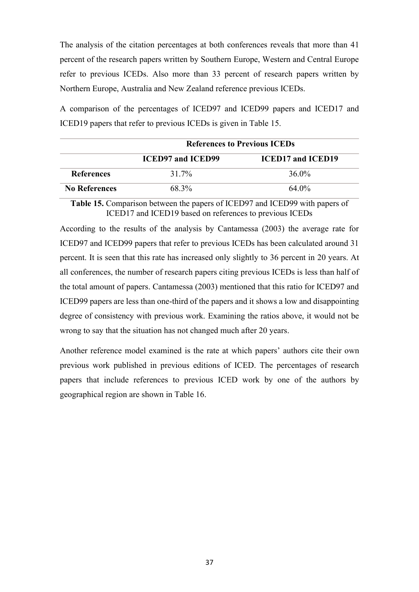The analysis of the citation percentages at both conferences reveals that more than 41 percent of the research papers written by Southern Europe, Western and Central Europe refer to previous ICEDs. Also more than 33 percent of research papers written by Northern Europe, Australia and New Zealand reference previous ICEDs.

A comparison of the percentages of ICED97 and ICED99 papers and ICED17 and ICED19 papers that refer to previous ICEDs is given in Table 15.

|                      |                          | <b>References to Previous ICEDs</b> |  |  |  |  |  |  |  |
|----------------------|--------------------------|-------------------------------------|--|--|--|--|--|--|--|
|                      | <b>ICED97 and ICED99</b> | <b>ICED17 and ICED19</b>            |  |  |  |  |  |  |  |
| <b>References</b>    | $31.7\%$                 | 36.0%                               |  |  |  |  |  |  |  |
| <b>No References</b> | 68.3%                    | 64.0%                               |  |  |  |  |  |  |  |

**Table 15.** Comparison between the papers of ICED97 and ICED99 with papers of ICED17 and ICED19 based on references to previous ICEDs

According to the results of the analysis by Cantamessa (2003) the average rate for ICED97 and ICED99 papers that refer to previous ICEDs has been calculated around 31 percent. It is seen that this rate has increased only slightly to 36 percent in 20 years. At all conferences, the number of research papers citing previous ICEDs is less than half of the total amount of papers. Cantamessa (2003) mentioned that this ratio for ICED97 and ICED99 papers are less than one-third of the papers and it shows a low and disappointing degree of consistency with previous work. Examining the ratios above, it would not be wrong to say that the situation has not changed much after 20 years.

Another reference model examined is the rate at which papers' authors cite their own previous work published in previous editions of ICED. The percentages of research papers that include references to previous ICED work by one of the authors by geographical region are shown in Table 16.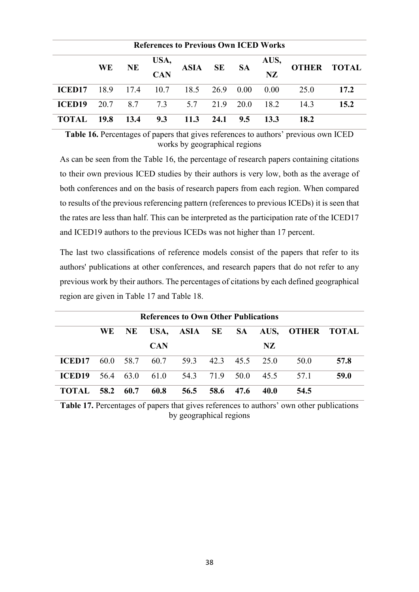|                    | <b>References to Previous Own ICED Works</b> |           |                               |             |           |                |                   |      |                    |  |  |  |
|--------------------|----------------------------------------------|-----------|-------------------------------|-------------|-----------|----------------|-------------------|------|--------------------|--|--|--|
|                    | <b>WE</b>                                    | <b>NE</b> | USA,<br><b>CAN</b>            | <b>ASIA</b> | <b>SE</b> | <b>SA</b>      | AUS,<br><b>NZ</b> |      | <b>OTHER TOTAL</b> |  |  |  |
| ICED <sub>17</sub> | 18.9                                         |           | 17.4 10.7 18.5 26.9 0.00 0.00 |             |           |                |                   | 25.0 | 17.2               |  |  |  |
| <b>ICED19</b>      | 20.7                                         | 8.7       | 7.3                           | 5.7         |           | 21.9 20.0 18.2 |                   | 14.3 | 15.2               |  |  |  |
| <b>TOTAL</b>       | 19.8                                         | 13.4      | 9.3                           | 11.3        | 24.1      | 9.5            | 13.3              | 18.2 |                    |  |  |  |

**Table 16.** Percentages of papers that gives references to authors' previous own ICED works by geographical regions

As can be seen from the Table 16, the percentage of research papers containing citations to their own previous ICED studies by their authors is very low, both as the average of both conferences and on the basis of research papers from each region. When compared to results of the previous referencing pattern (references to previous ICEDs) it is seen that the rates are less than half. This can be interpreted as the participation rate of the ICED17 and ICED19 authors to the previous ICEDs was not higher than 17 percent.

The last two classifications of reference models consist of the papers that refer to its authors' publications at other conferences, and research papers that do not refer to any previous work by their authors. The percentages of citations by each defined geographical region are given in Table 17 and Table 18.

|                    | <b>References to Own Other Publications</b> |      |            |                                    |           |           |             |                                  |      |  |  |
|--------------------|---------------------------------------------|------|------------|------------------------------------|-----------|-----------|-------------|----------------------------------|------|--|--|
|                    | WE-                                         | NE.  |            |                                    |           |           |             | USA, ASIA SE SA AUS, OTHER TOTAL |      |  |  |
|                    |                                             |      | <b>CAN</b> |                                    |           |           | NZ          |                                  |      |  |  |
| ICED <sub>17</sub> |                                             |      |            | 60.0 58.7 60.7 59.3 42.3 45.5 25.0 |           |           |             | 50.0                             | 57.8 |  |  |
| <b>ICED19</b>      | 56.4                                        | 63.0 | 61.0       | 54.3                               | 71.9 50.0 |           | 45.5        | 57.1                             | 59.0 |  |  |
| <b>TOTAL</b>       | 58.2                                        | 60.7 | 60.8       | 56.5                               |           | 58.6 47.6 | <b>40.0</b> | 54.5                             |      |  |  |

**Table 17.** Percentages of papers that gives references to authors' own other publications by geographical regions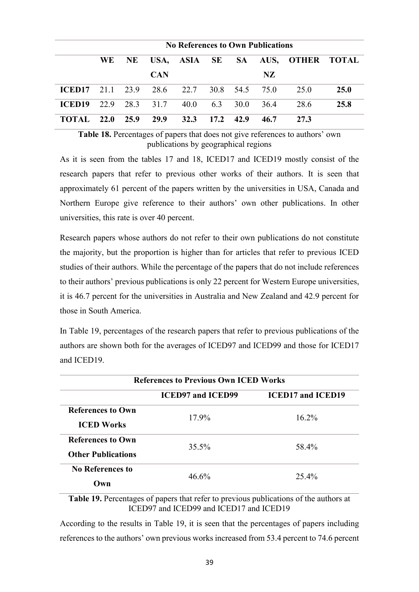|               | <b>No References to Own Publications</b> |      |                     |                                    |           |          |      |                                  |             |  |  |
|---------------|------------------------------------------|------|---------------------|------------------------------------|-----------|----------|------|----------------------------------|-------------|--|--|
|               | WE.                                      | NE   |                     |                                    |           |          |      | USA, ASIA SE SA AUS, OTHER TOTAL |             |  |  |
|               |                                          |      | <b>CAN</b>          |                                    |           |          | NZ.  |                                  |             |  |  |
| ICED17        |                                          |      |                     | 21.1 23.9 28.6 22.7 30.8 54.5 75.0 |           |          |      | 25.0                             | <b>25.0</b> |  |  |
| <b>ICED19</b> |                                          |      | 22.9 28.3 31.7 40.0 |                                    |           | 6.3 30.0 | 36.4 | 28.6                             | 25.8        |  |  |
| <b>TOTAL</b>  | <b>22.0</b>                              | 25.9 | 29.9                | 32.3                               | 17.2 42.9 |          | 46.7 | 27.3                             |             |  |  |

**Table 18.** Percentages of papers that does not give references to authors' own publications by geographical regions

As it is seen from the tables 17 and 18, ICED17 and ICED19 mostly consist of the research papers that refer to previous other works of their authors. It is seen that approximately 61 percent of the papers written by the universities in USA, Canada and Northern Europe give reference to their authors' own other publications. In other universities, this rate is over 40 percent.

Research papers whose authors do not refer to their own publications do not constitute the majority, but the proportion is higher than for articles that refer to previous ICED studies of their authors. While the percentage of the papers that do not include references to their authors' previous publications is only 22 percent for Western Europe universities, it is 46.7 percent for the universities in Australia and New Zealand and 42.9 percent for those in South America.

In Table 19, percentages of the research papers that refer to previous publications of the authors are shown both for the averages of ICED97 and ICED99 and those for ICED17 and ICED19.

| <b>References to Previous Own ICED Works</b> |                          |                          |  |  |
|----------------------------------------------|--------------------------|--------------------------|--|--|
|                                              | <b>ICED97 and ICED99</b> | <b>ICED17 and ICED19</b> |  |  |
| <b>References to Own</b>                     | 17.9%                    | $16.2\%$                 |  |  |
| <b>ICED Works</b>                            |                          |                          |  |  |
| <b>References to Own</b>                     | 35.5%                    | 58.4%                    |  |  |
| <b>Other Publications</b>                    |                          |                          |  |  |
| <b>No References to</b>                      | $46.6\%$                 | 25.4%                    |  |  |
| Own                                          |                          |                          |  |  |

**Table 19.** Percentages of papers that refer to previous publications of the authors at ICED97 and ICED99 and ICED17 and ICED19

According to the results in Table 19, it is seen that the percentages of papers including references to the authors' own previous works increased from 53.4 percent to 74.6 percent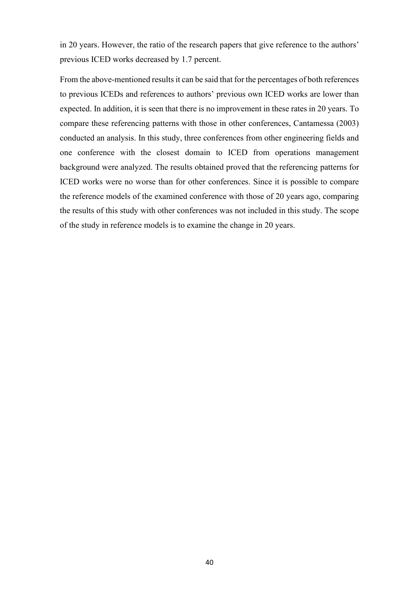in 20 years. However, the ratio of the research papers that give reference to the authors' previous ICED works decreased by 1.7 percent.

From the above-mentioned results it can be said that for the percentages of both references to previous ICEDs and references to authors' previous own ICED works are lower than expected. In addition, it is seen that there is no improvement in these rates in 20 years. To compare these referencing patterns with those in other conferences, Cantamessa (2003) conducted an analysis. In this study, three conferences from other engineering fields and one conference with the closest domain to ICED from operations management background were analyzed. The results obtained proved that the referencing patterns for ICED works were no worse than for other conferences. Since it is possible to compare the reference models of the examined conference with those of 20 years ago, comparing the results of this study with other conferences was not included in this study. The scope of the study in reference models is to examine the change in 20 years.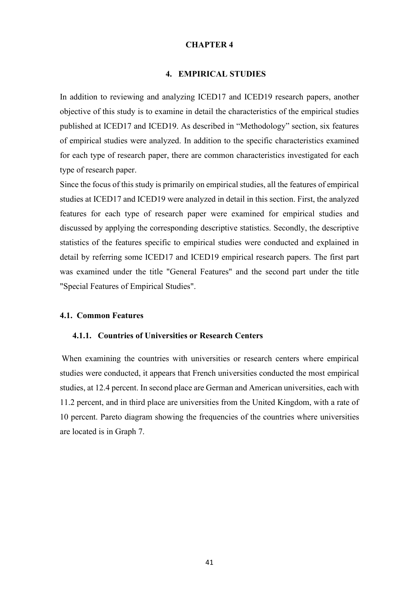#### **CHAPTER 4**

#### **4. EMPIRICAL STUDIES**

<span id="page-46-0"></span>In addition to reviewing and analyzing ICED17 and ICED19 research papers, another objective of this study is to examine in detail the characteristics of the empirical studies published at ICED17 and ICED19. As described in "Methodology" section, six features of empirical studies were analyzed. In addition to the specific characteristics examined for each type of research paper, there are common characteristics investigated for each type of research paper.

Since the focus of this study is primarily on empirical studies, all the features of empirical studies at ICED17 and ICED19 were analyzed in detail in this section. First, the analyzed features for each type of research paper were examined for empirical studies and discussed by applying the corresponding descriptive statistics. Secondly, the descriptive statistics of the features specific to empirical studies were conducted and explained in detail by referring some ICED17 and ICED19 empirical research papers. The first part was examined under the title "General Features" and the second part under the title "Special Features of Empirical Studies".

#### <span id="page-46-2"></span><span id="page-46-1"></span>**4.1. Common Features**

#### **4.1.1. Countries of Universities or Research Centers**

When examining the countries with universities or research centers where empirical studies were conducted, it appears that French universities conducted the most empirical studies, at 12.4 percent. In second place are German and American universities, each with 11.2 percent, and in third place are universities from the United Kingdom, with a rate of 10 percent. Pareto diagram showing the frequencies of the countries where universities are located is in Graph 7.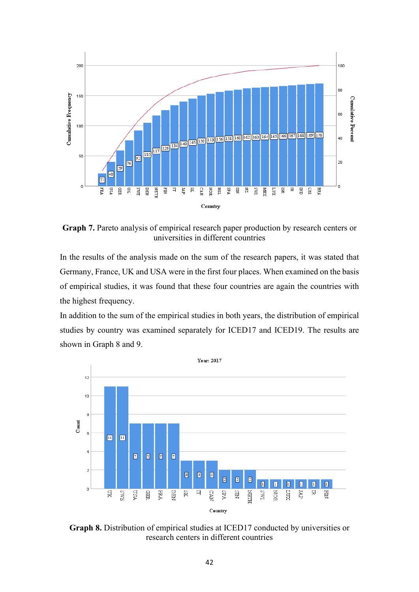

**Graph 7.** Pareto analysis of empirical research paper production by research centers or universities in different countries

In the results of the analysis made on the sum of the research papers, it was stated that Germany, France, UK and USA were in the first four places. When examined on the basis of empirical studies, it was found that these four countries are again the countries with the highest frequency.

In addition to the sum of the empirical studies in both years, the distribution of empirical studies by country was examined separately for ICED17 and ICED19. The results are shown in Graph 8 and 9.



**Graph 8.** Distribution of empirical studies at ICED17 conducted by universities or research centers in different countries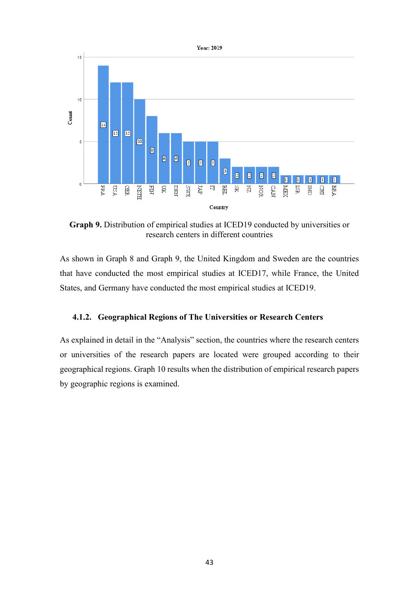

**Graph 9.** Distribution of empirical studies at ICED19 conducted by universities or research centers in different countries

<span id="page-48-0"></span>As shown in Graph 8 and Graph 9, the United Kingdom and Sweden are the countries that have conducted the most empirical studies at ICED17, while France, the United States, and Germany have conducted the most empirical studies at ICED19.

#### **4.1.2. Geographical Regions of The Universities or Research Centers**

As explained in detail in the "Analysis" section, the countries where the research centers or universities of the research papers are located were grouped according to their geographical regions. Graph 10 results when the distribution of empirical research papers by geographic regions is examined.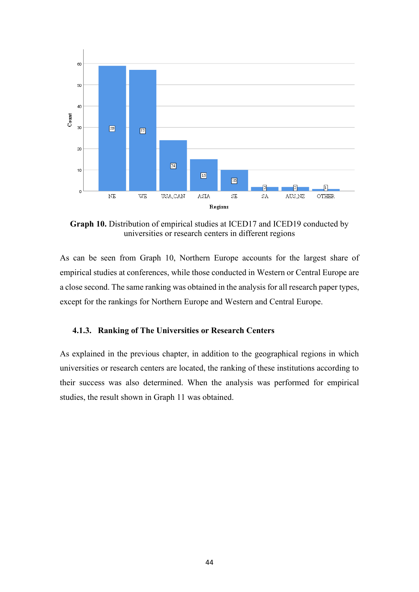

**Graph 10.** Distribution of empirical studies at ICED17 and ICED19 conducted by universities or research centers in different regions

<span id="page-49-0"></span>As can be seen from Graph 10, Northern Europe accounts for the largest share of empirical studies at conferences, while those conducted in Western or Central Europe are a close second. The same ranking was obtained in the analysis for all research paper types, except for the rankings for Northern Europe and Western and Central Europe.

#### **4.1.3. Ranking of The Universities or Research Centers**

As explained in the previous chapter, in addition to the geographical regions in which universities or research centers are located, the ranking of these institutions according to their success was also determined. When the analysis was performed for empirical studies, the result shown in Graph 11 was obtained.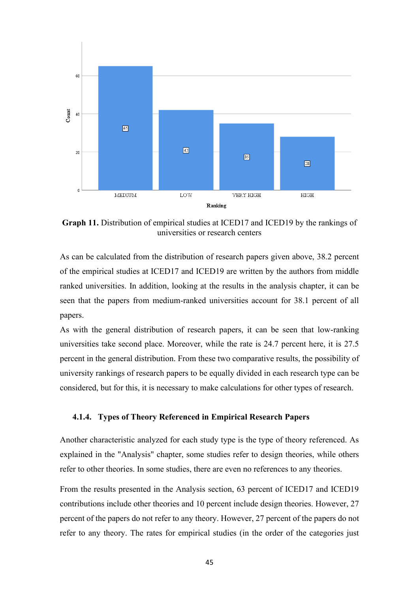

**Graph 11.** Distribution of empirical studies at ICED17 and ICED19 by the rankings of universities or research centers

As can be calculated from the distribution of research papers given above, 38.2 percent of the empirical studies at ICED17 and ICED19 are written by the authors from middle ranked universities. In addition, looking at the results in the analysis chapter, it can be seen that the papers from medium-ranked universities account for 38.1 percent of all papers.

As with the general distribution of research papers, it can be seen that low-ranking universities take second place. Moreover, while the rate is 24.7 percent here, it is 27.5 percent in the general distribution. From these two comparative results, the possibility of university rankings of research papers to be equally divided in each research type can be considered, but for this, it is necessary to make calculations for other types of research.

#### <span id="page-50-0"></span>**4.1.4. Types of Theory Referenced in Empirical Research Papers**

Another characteristic analyzed for each study type is the type of theory referenced. As explained in the "Analysis" chapter, some studies refer to design theories, while others refer to other theories. In some studies, there are even no references to any theories.

From the results presented in the Analysis section, 63 percent of ICED17 and ICED19 contributions include other theories and 10 percent include design theories. However, 27 percent of the papers do not refer to any theory. However, 27 percent of the papers do not refer to any theory. The rates for empirical studies (in the order of the categories just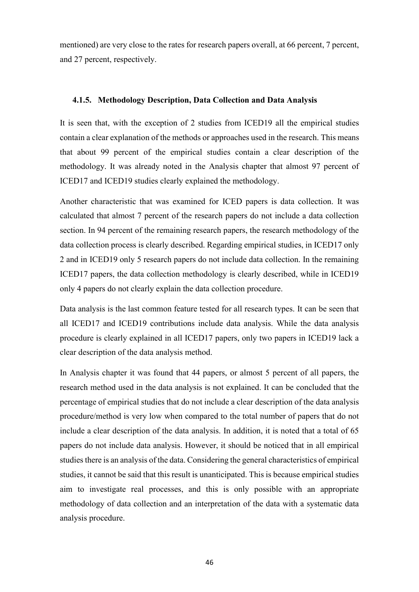<span id="page-51-0"></span>mentioned) are very close to the rates for research papers overall, at 66 percent, 7 percent, and 27 percent, respectively.

#### **4.1.5. Methodology Description, Data Collection and Data Analysis**

It is seen that, with the exception of 2 studies from ICED19 all the empirical studies contain a clear explanation of the methods or approaches used in the research. This means that about 99 percent of the empirical studies contain a clear description of the methodology. It was already noted in the Analysis chapter that almost 97 percent of ICED17 and ICED19 studies clearly explained the methodology.

Another characteristic that was examined for ICED papers is data collection. It was calculated that almost 7 percent of the research papers do not include a data collection section. In 94 percent of the remaining research papers, the research methodology of the data collection process is clearly described. Regarding empirical studies, in ICED17 only 2 and in ICED19 only 5 research papers do not include data collection. In the remaining ICED17 papers, the data collection methodology is clearly described, while in ICED19 only 4 papers do not clearly explain the data collection procedure.

Data analysis is the last common feature tested for all research types. It can be seen that all ICED17 and ICED19 contributions include data analysis. While the data analysis procedure is clearly explained in all ICED17 papers, only two papers in ICED19 lack a clear description of the data analysis method.

In Analysis chapter it was found that 44 papers, or almost 5 percent of all papers, the research method used in the data analysis is not explained. It can be concluded that the percentage of empirical studies that do not include a clear description of the data analysis procedure/method is very low when compared to the total number of papers that do not include a clear description of the data analysis. In addition, it is noted that a total of 65 papers do not include data analysis. However, it should be noticed that in all empirical studies there is an analysis of the data. Considering the general characteristics of empirical studies, it cannot be said that this result is unanticipated. This is because empirical studies aim to investigate real processes, and this is only possible with an appropriate methodology of data collection and an interpretation of the data with a systematic data analysis procedure.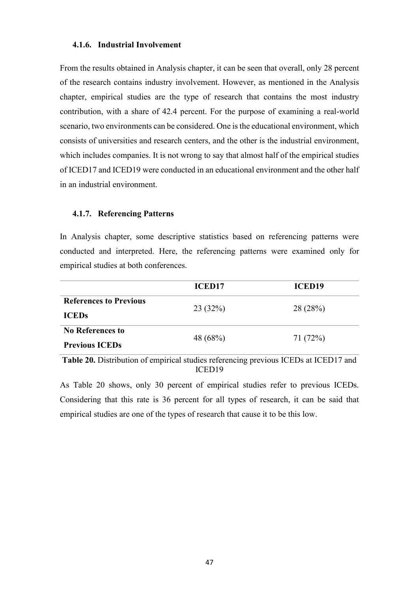#### <span id="page-52-0"></span>**4.1.6. Industrial Involvement**

From the results obtained in Analysis chapter, it can be seen that overall, only 28 percent of the research contains industry involvement. However, as mentioned in the Analysis chapter, empirical studies are the type of research that contains the most industry contribution, with a share of 42.4 percent. For the purpose of examining a real-world scenario, two environments can be considered. One is the educational environment, which consists of universities and research centers, and the other is the industrial environment, which includes companies. It is not wrong to say that almost half of the empirical studies of ICED17 and ICED19 were conducted in an educational environment and the other half in an industrial environment.

#### <span id="page-52-1"></span>**4.1.7. Referencing Patterns**

In Analysis chapter, some descriptive statistics based on referencing patterns were conducted and interpreted. Here, the referencing patterns were examined only for empirical studies at both conferences.

|                                                                                                                                                                                                                                                                                                                                                    | <b>ICED17</b> | <b>ICED19</b>                  |  |
|----------------------------------------------------------------------------------------------------------------------------------------------------------------------------------------------------------------------------------------------------------------------------------------------------------------------------------------------------|---------------|--------------------------------|--|
| <b>References to Previous</b>                                                                                                                                                                                                                                                                                                                      |               |                                |  |
| <b>ICEDs</b>                                                                                                                                                                                                                                                                                                                                       | 23(32%)       | 28 (28%)                       |  |
| <b>No References to</b>                                                                                                                                                                                                                                                                                                                            | 48 (68%)      | 71(72%)                        |  |
| <b>Previous ICEDs</b>                                                                                                                                                                                                                                                                                                                              |               |                                |  |
| $\mathbf{A}$ $\mathbf{A}$ $\mathbf{D}$ $\mathbf{A}$ $\mathbf{A}$ $\mathbf{A}$ $\mathbf{A}$ $\mathbf{A}$ $\mathbf{A}$ $\mathbf{A}$ $\mathbf{A}$ $\mathbf{A}$ $\mathbf{A}$ $\mathbf{A}$ $\mathbf{A}$ $\mathbf{A}$ $\mathbf{A}$ $\mathbf{A}$ $\mathbf{A}$ $\mathbf{A}$ $\mathbf{A}$ $\mathbf{A}$ $\mathbf{A}$ $\mathbf{A}$ $\mathbf{$<br>$\mathbf{r}$ | $\sim$        | $T \cap \Gamma$<br>$170F$ $17$ |  |

**Table 20.** Distribution of empirical studies referencing previous ICEDs at ICED17 and ICED19

As Table 20 shows, only 30 percent of empirical studies refer to previous ICEDs. Considering that this rate is 36 percent for all types of research, it can be said that empirical studies are one of the types of research that cause it to be this low.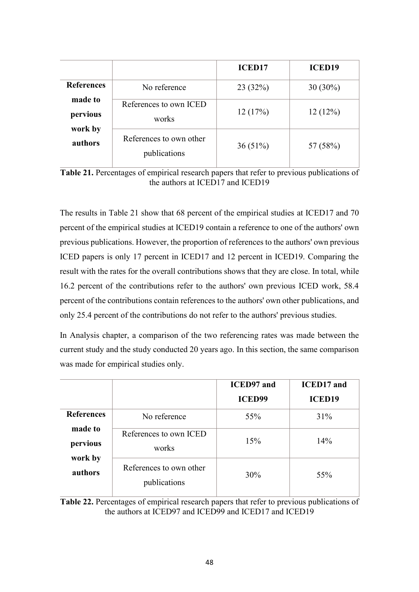|                     |                                         | <b>ICED17</b> | <b>ICED19</b> |
|---------------------|-----------------------------------------|---------------|---------------|
| <b>References</b>   | No reference                            | 23 (32%)      | $30(30\%)$    |
| made to<br>pervious | References to own ICED<br>works         | 12(17%)       | 12(12%)       |
| work by<br>authors  | References to own other<br>publications | 36(51%)       | 57 (58%)      |

| Table 21. Percentages of empirical research papers that refer to previous publications of |  |
|-------------------------------------------------------------------------------------------|--|
| the authors at ICED17 and ICED19                                                          |  |

The results in Table 21 show that 68 percent of the empirical studies at ICED17 and 70 percent of the empirical studies at ICED19 contain a reference to one of the authors' own previous publications. However, the proportion of references to the authors' own previous ICED papers is only 17 percent in ICED17 and 12 percent in ICED19. Comparing the result with the rates for the overall contributions shows that they are close. In total, while 16.2 percent of the contributions refer to the authors' own previous ICED work, 58.4 percent of the contributions contain references to the authors' own other publications, and only 25.4 percent of the contributions do not refer to the authors' previous studies.

In Analysis chapter, a comparison of the two referencing rates was made between the current study and the study conducted 20 years ago. In this section, the same comparison was made for empirical studies only.

|                     |                                         | <b>ICED97</b> and | <b>ICED17</b> and |
|---------------------|-----------------------------------------|-------------------|-------------------|
|                     |                                         | <b>ICED99</b>     | <b>ICED19</b>     |
| <b>References</b>   | No reference                            | 55%               | 31%               |
| made to<br>pervious | References to own ICED<br>works         | 15%               | 14%               |
| work by<br>authors  | References to own other<br>publications | 30%               | 55%               |

**Table 22.** Percentages of empirical research papers that refer to previous publications of the authors at ICED97 and ICED99 and ICED17 and ICED19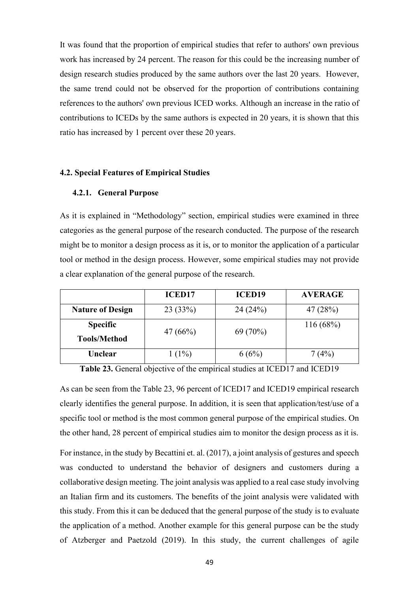It was found that the proportion of empirical studies that refer to authors' own previous work has increased by 24 percent. The reason for this could be the increasing number of design research studies produced by the same authors over the last 20 years. However, the same trend could not be observed for the proportion of contributions containing references to the authors' own previous ICED works. Although an increase in the ratio of contributions to ICEDs by the same authors is expected in 20 years, it is shown that this ratio has increased by 1 percent over these 20 years.

#### <span id="page-54-1"></span><span id="page-54-0"></span>**4.2. Special Features of Empirical Studies**

#### **4.2.1. General Purpose**

As it is explained in "Methodology" section, empirical studies were examined in three categories as the general purpose of the research conducted. The purpose of the research might be to monitor a design process as it is, or to monitor the application of a particular tool or method in the design process. However, some empirical studies may not provide a clear explanation of the general purpose of the research.

|                         | <b>ICED17</b> | <b>ICED19</b> | <b>AVERAGE</b> |
|-------------------------|---------------|---------------|----------------|
| <b>Nature of Design</b> | 23(33%)       | 24(24%)       | 47 (28%)       |
| <b>Specific</b>         | 47 $(66%)$    | $69(70\%)$    | 116(68%)       |
| <b>Tools/Method</b>     |               |               |                |
| Unclear                 | $1(1\%)$      | 6(6%)         | 7(4%)          |

**Table 23.** General objective of the empirical studies at ICED17 and ICED19

As can be seen from the Table 23, 96 percent of ICED17 and ICED19 empirical research clearly identifies the general purpose. In addition, it is seen that application/test/use of a specific tool or method is the most common general purpose of the empirical studies. On the other hand, 28 percent of empirical studies aim to monitor the design process as it is.

For instance, in the study by Becattini et. al. (2017), a joint analysis of gestures and speech was conducted to understand the behavior of designers and customers during a collaborative design meeting. The joint analysis was applied to a real case study involving an Italian firm and its customers. The benefits of the joint analysis were validated with this study. From this it can be deduced that the general purpose of the study is to evaluate the application of a method. Another example for this general purpose can be the study of Atzberger and Paetzold (2019). In this study, the current challenges of agile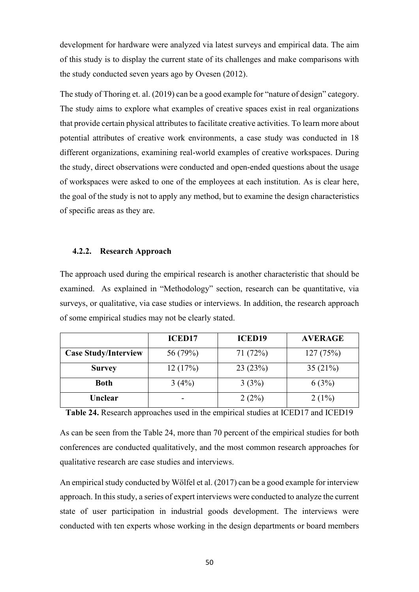development for hardware were analyzed via latest surveys and empirical data. The aim of this study is to display the current state of its challenges and make comparisons with the study conducted seven years ago by Ovesen (2012).

The study of Thoring et. al. (2019) can be a good example for "nature of design" category. The study aims to explore what examples of creative spaces exist in real organizations that provide certain physical attributes to facilitate creative activities. To learn more about potential attributes of creative work environments, a case study was conducted in 18 different organizations, examining real-world examples of creative workspaces. During the study, direct observations were conducted and open-ended questions about the usage of workspaces were asked to one of the employees at each institution. As is clear here, the goal of the study is not to apply any method, but to examine the design characteristics of specific areas as they are.

#### <span id="page-55-0"></span>**4.2.2. Research Approach**

The approach used during the empirical research is another characteristic that should be examined. As explained in "Methodology" section, research can be quantitative, via surveys, or qualitative, via case studies or interviews. In addition, the research approach of some empirical studies may not be clearly stated.

|                             | <b>ICED17</b> | <b>ICED19</b> | <b>AVERAGE</b> |
|-----------------------------|---------------|---------------|----------------|
| <b>Case Study/Interview</b> | 56 (79%)      | 71 (72%)      | 127(75%)       |
| <b>Survey</b>               | 12(17%)       | 23(23%)       | 35(21%)        |
| <b>Both</b>                 | 3(4%)         | 3(3%)         | 6(3%)          |
| Unclear                     |               | 2(2%)         | $2(1\%)$       |

**Table 24.** Research approaches used in the empirical studies at ICED17 and ICED19

As can be seen from the Table 24, more than 70 percent of the empirical studies for both conferences are conducted qualitatively, and the most common research approaches for qualitative research are case studies and interviews.

An empirical study conducted by Wölfel et al. (2017) can be a good example for interview approach. In this study, a series of expert interviews were conducted to analyze the current state of user participation in industrial goods development. The interviews were conducted with ten experts whose working in the design departments or board members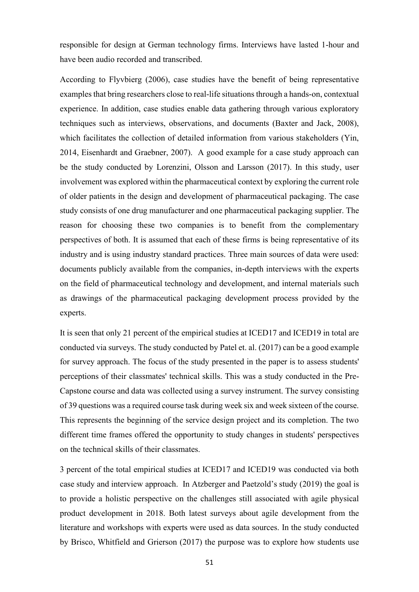responsible for design at German technology firms. Interviews have lasted 1-hour and have been audio recorded and transcribed.

According to Flyvbierg (2006), case studies have the benefit of being representative examples that bring researchers close to real-life situations through a hands-on, contextual experience. In addition, case studies enable data gathering through various exploratory techniques such as interviews, observations, and documents (Baxter and Jack, 2008), which facilitates the collection of detailed information from various stakeholders (Yin, 2014, Eisenhardt and Graebner, 2007). A good example for a case study approach can be the study conducted by Lorenzini, Olsson and Larsson (2017). In this study, user involvement was explored within the pharmaceutical context by exploring the current role of older patients in the design and development of pharmaceutical packaging. The case study consists of one drug manufacturer and one pharmaceutical packaging supplier. The reason for choosing these two companies is to benefit from the complementary perspectives of both. It is assumed that each of these firms is being representative of its industry and is using industry standard practices. Three main sources of data were used: documents publicly available from the companies, in-depth interviews with the experts on the field of pharmaceutical technology and development, and internal materials such as drawings of the pharmaceutical packaging development process provided by the experts.

It is seen that only 21 percent of the empirical studies at ICED17 and ICED19 in total are conducted via surveys. The study conducted by Patel et. al. (2017) can be a good example for survey approach. The focus of the study presented in the paper is to assess students' perceptions of their classmates' technical skills. This was a study conducted in the Pre-Capstone course and data was collected using a survey instrument. The survey consisting of 39 questions was a required course task during week six and week sixteen of the course. This represents the beginning of the service design project and its completion. The two different time frames offered the opportunity to study changes in students' perspectives on the technical skills of their classmates.

3 percent of the total empirical studies at ICED17 and ICED19 was conducted via both case study and interview approach. In Atzberger and Paetzold's study (2019) the goal is to provide a holistic perspective on the challenges still associated with agile physical product development in 2018. Both latest surveys about agile development from the literature and workshops with experts were used as data sources. In the study conducted by Brisco, Whitfield and Grierson (2017) the purpose was to explore how students use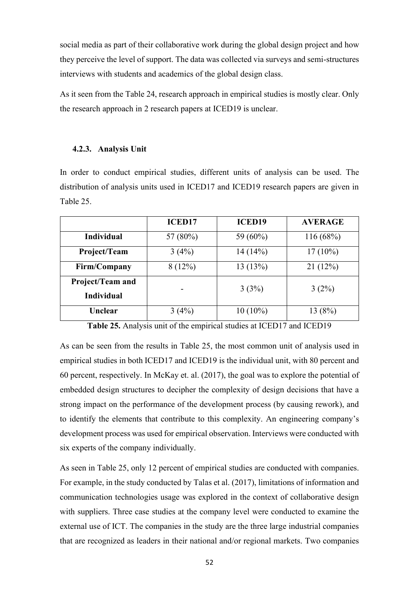social media as part of their collaborative work during the global design project and how they perceive the level of support. The data was collected via surveys and semi-structures interviews with students and academics of the global design class.

<span id="page-57-0"></span>As it seen from the Table 24, research approach in empirical studies is mostly clear. Only the research approach in 2 research papers at ICED19 is unclear.

#### **4.2.3. Analysis Unit**

In order to conduct empirical studies, different units of analysis can be used. The distribution of analysis units used in ICED17 and ICED19 research papers are given in Table 25.

|                                       | <b>ICED17</b> | <b>ICED19</b> | <b>AVERAGE</b> |
|---------------------------------------|---------------|---------------|----------------|
| <b>Individual</b>                     | 57 (80%)      | 59 (60%)      | 116 (68%)      |
| Project/Team                          | 3(4%)         | 14(14%)       | $17(10\%)$     |
| Firm/Company                          | 8(12%)        | 13(13%)       | 21(12%)        |
| Project/Team and<br><b>Individual</b> |               | 3(3%)         | $3(2\%)$       |
| Unclear                               | 3(4%)         | $10(10\%)$    | 13 (8%)        |

**Table 25.** Analysis unit of the empirical studies at ICED17 and ICED19

As can be seen from the results in Table 25, the most common unit of analysis used in empirical studies in both ICED17 and ICED19 is the individual unit, with 80 percent and 60 percent, respectively. In McKay et. al. (2017), the goal was to explore the potential of embedded design structures to decipher the complexity of design decisions that have a strong impact on the performance of the development process (by causing rework), and to identify the elements that contribute to this complexity. An engineering company's development process was used for empirical observation. Interviews were conducted with six experts of the company individually.

As seen in Table 25, only 12 percent of empirical studies are conducted with companies. For example, in the study conducted by Talas et al. (2017), limitations of information and communication technologies usage was explored in the context of collaborative design with suppliers. Three case studies at the company level were conducted to examine the external use of ICT. The companies in the study are the three large industrial companies that are recognized as leaders in their national and/or regional markets. Two companies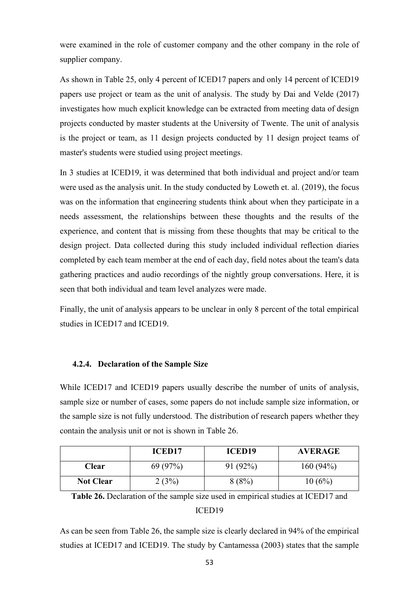were examined in the role of customer company and the other company in the role of supplier company.

As shown in Table 25, only 4 percent of ICED17 papers and only 14 percent of ICED19 papers use project or team as the unit of analysis. The study by Dai and Velde (2017) investigates how much explicit knowledge can be extracted from meeting data of design projects conducted by master students at the University of Twente. The unit of analysis is the project or team, as 11 design projects conducted by 11 design project teams of master's students were studied using project meetings.

In 3 studies at ICED19, it was determined that both individual and project and/or team were used as the analysis unit. In the study conducted by Loweth et. al. (2019), the focus was on the information that engineering students think about when they participate in a needs assessment, the relationships between these thoughts and the results of the experience, and content that is missing from these thoughts that may be critical to the design project. Data collected during this study included individual reflection diaries completed by each team member at the end of each day, field notes about the team's data gathering practices and audio recordings of the nightly group conversations. Here, it is seen that both individual and team level analyzes were made.

<span id="page-58-0"></span>Finally, the unit of analysis appears to be unclear in only 8 percent of the total empirical studies in ICED17 and ICED19.

#### **4.2.4. Declaration of the Sample Size**

While ICED17 and ICED19 papers usually describe the number of units of analysis, sample size or number of cases, some papers do not include sample size information, or the sample size is not fully understood. The distribution of research papers whether they contain the analysis unit or not is shown in Table 26.

|                  | ICED <sub>17</sub> | <b>ICED19</b> | <b>AVERAGE</b> |
|------------------|--------------------|---------------|----------------|
| <b>Clear</b>     | 69(97%)            | 91(92%)       | 160(94%)       |
| <b>Not Clear</b> | 2(3%)              | 8(8%)         | 10(6%)         |

**Table 26.** Declaration of the sample size used in empirical studies at ICED17 and

#### ICED19

As can be seen from Table 26, the sample size is clearly declared in 94% of the empirical studies at ICED17 and ICED19. The study by Cantamessa (2003) states that the sample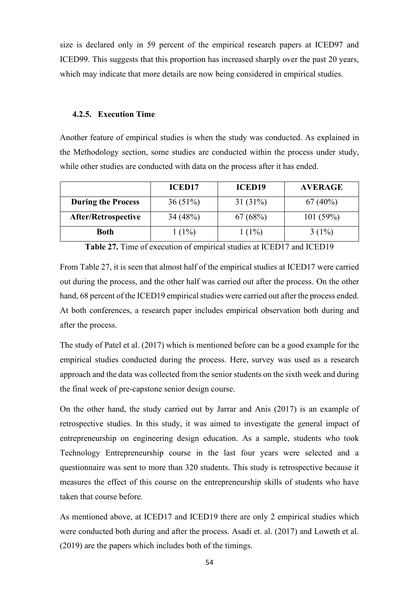<span id="page-59-0"></span>size is declared only in 59 percent of the empirical research papers at ICED97 and ICED99. This suggests that this proportion has increased sharply over the past 20 years, which may indicate that more details are now being considered in empirical studies.

#### **4.2.5. Execution Time**

Another feature of empirical studies is when the study was conducted. As explained in the Methodology section, some studies are conducted within the process under study, while other studies are conducted with data on the process after it has ended.

|                            | <b>ICED17</b> | <b>ICED19</b> | <b>AVERAGE</b> |
|----------------------------|---------------|---------------|----------------|
| <b>During the Process</b>  | $36(51\%)$    | $31(31\%)$    | $67(40\%)$     |
| <b>After/Retrospective</b> | 34(48%)       | 67(68%)       | 101(59%)       |
| Both                       | $1(1\%)$      | $1(1\%)$      | $3(1\%)$       |

**Table 27.** Time of execution of empirical studies at ICED17 and ICED19

From Table 27, it is seen that almost half of the empirical studies at ICED17 were carried out during the process, and the other half was carried out after the process. On the other hand, 68 percent of the ICED19 empirical studies were carried out after the process ended. At both conferences, a research paper includes empirical observation both during and after the process.

The study of Patel et al. (2017) which is mentioned before can be a good example for the empirical studies conducted during the process. Here, survey was used as a research approach and the data was collected from the senior students on the sixth week and during the final week of pre-capstone senior design course.

On the other hand, the study carried out by Jarrar and Anis (2017) is an example of retrospective studies. In this study, it was aimed to investigate the general impact of entrepreneurship on engineering design education. As a sample, students who took Technology Entrepreneurship course in the last four years were selected and a questionnaire was sent to more than 320 students. This study is retrospective because it measures the effect of this course on the entrepreneurship skills of students who have taken that course before.

As mentioned above, at ICED17 and ICED19 there are only 2 empirical studies which were conducted both during and after the process. Asadi et. al. (2017) and Loweth et al. (2019) are the papers which includes both of the timings.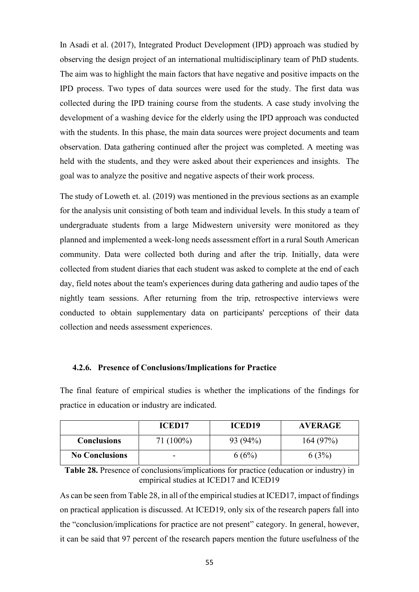In Asadi et al. (2017), Integrated Product Development (IPD) approach was studied by observing the design project of an international multidisciplinary team of PhD students. The aim was to highlight the main factors that have negative and positive impacts on the IPD process. Two types of data sources were used for the study. The first data was collected during the IPD training course from the students. A case study involving the development of a washing device for the elderly using the IPD approach was conducted with the students. In this phase, the main data sources were project documents and team observation. Data gathering continued after the project was completed. A meeting was held with the students, and they were asked about their experiences and insights. The goal was to analyze the positive and negative aspects of their work process.

The study of Loweth et. al. (2019) was mentioned in the previous sections as an example for the analysis unit consisting of both team and individual levels. In this study a team of undergraduate students from a large Midwestern university were monitored as they planned and implemented a week-long needs assessment effort in a rural South American community. Data were collected both during and after the trip. Initially, data were collected from student diaries that each student was asked to complete at the end of each day, field notes about the team's experiences during data gathering and audio tapes of the nightly team sessions. After returning from the trip, retrospective interviews were conducted to obtain supplementary data on participants' perceptions of their data collection and needs assessment experiences.

#### <span id="page-60-0"></span>**4.2.6. Presence of Conclusions/Implications for Practice**

|                       | <b>ICED17</b> | <b>ICED19</b> | <b>AVERAGE</b> |
|-----------------------|---------------|---------------|----------------|
| <b>Conclusions</b>    | $71(100\%)$   | 93 (94%)      | 164(97%)       |
| <b>No Conclusions</b> | ۰             | 6(6%)         | $3\%$          |

The final feature of empirical studies is whether the implications of the findings for practice in education or industry are indicated.

**Table 28.** Presence of conclusions/implications for practice (education or industry) in empirical studies at ICED17 and ICED19

As can be seen from Table 28, in all of the empirical studies at ICED17, impact of findings on practical application is discussed. At ICED19, only six of the research papers fall into the "conclusion/implications for practice are not present" category. In general, however, it can be said that 97 percent of the research papers mention the future usefulness of the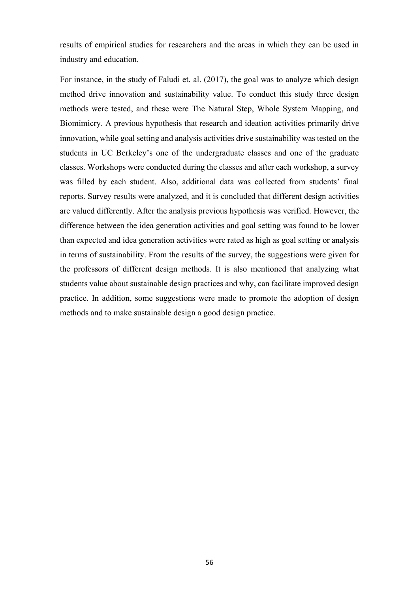results of empirical studies for researchers and the areas in which they can be used in industry and education.

For instance, in the study of Faludi et. al. (2017), the goal was to analyze which design method drive innovation and sustainability value. To conduct this study three design methods were tested, and these were The Natural Step, Whole System Mapping, and Biomimicry. A previous hypothesis that research and ideation activities primarily drive innovation, while goal setting and analysis activities drive sustainability was tested on the students in UC Berkeley's one of the undergraduate classes and one of the graduate classes. Workshops were conducted during the classes and after each workshop, a survey was filled by each student. Also, additional data was collected from students' final reports. Survey results were analyzed, and it is concluded that different design activities are valued differently. After the analysis previous hypothesis was verified. However, the difference between the idea generation activities and goal setting was found to be lower than expected and idea generation activities were rated as high as goal setting or analysis in terms of sustainability. From the results of the survey, the suggestions were given for the professors of different design methods. It is also mentioned that analyzing what students value about sustainable design practices and why, can facilitate improved design practice. In addition, some suggestions were made to promote the adoption of design methods and to make sustainable design a good design practice.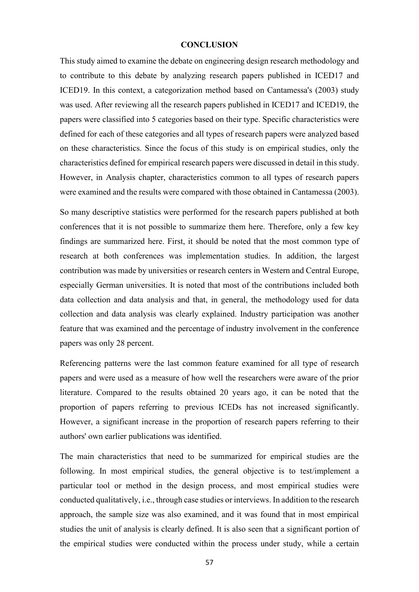#### **CONCLUSION**

This study aimed to examine the debate on engineering design research methodology and to contribute to this debate by analyzing research papers published in ICED17 and ICED19. In this context, a categorization method based on Cantamessa's (2003) study was used. After reviewing all the research papers published in ICED17 and ICED19, the papers were classified into 5 categories based on their type. Specific characteristics were defined for each of these categories and all types of research papers were analyzed based on these characteristics. Since the focus of this study is on empirical studies, only the characteristics defined for empirical research papers were discussed in detail in this study. However, in Analysis chapter, characteristics common to all types of research papers were examined and the results were compared with those obtained in Cantamessa (2003).

So many descriptive statistics were performed for the research papers published at both conferences that it is not possible to summarize them here. Therefore, only a few key findings are summarized here. First, it should be noted that the most common type of research at both conferences was implementation studies. In addition, the largest contribution was made by universities or research centers in Western and Central Europe, especially German universities. It is noted that most of the contributions included both data collection and data analysis and that, in general, the methodology used for data collection and data analysis was clearly explained. Industry participation was another feature that was examined and the percentage of industry involvement in the conference papers was only 28 percent.

Referencing patterns were the last common feature examined for all type of research papers and were used as a measure of how well the researchers were aware of the prior literature. Compared to the results obtained 20 years ago, it can be noted that the proportion of papers referring to previous ICEDs has not increased significantly. However, a significant increase in the proportion of research papers referring to their authors' own earlier publications was identified.

The main characteristics that need to be summarized for empirical studies are the following. In most empirical studies, the general objective is to test/implement a particular tool or method in the design process, and most empirical studies were conducted qualitatively, i.e., through case studies or interviews. In addition to the research approach, the sample size was also examined, and it was found that in most empirical studies the unit of analysis is clearly defined. It is also seen that a significant portion of the empirical studies were conducted within the process under study, while a certain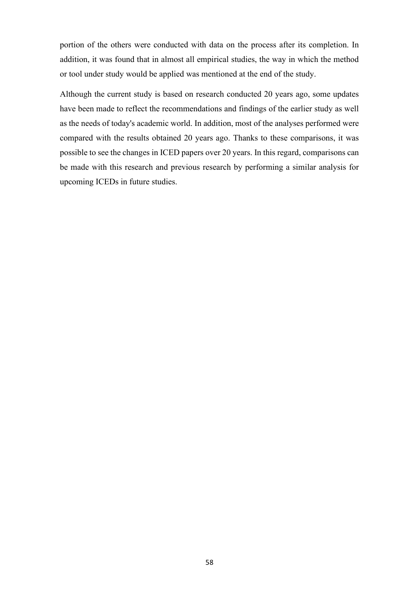portion of the others were conducted with data on the process after its completion. In addition, it was found that in almost all empirical studies, the way in which the method or tool under study would be applied was mentioned at the end of the study.

Although the current study is based on research conducted 20 years ago, some updates have been made to reflect the recommendations and findings of the earlier study as well as the needs of today's academic world. In addition, most of the analyses performed were compared with the results obtained 20 years ago. Thanks to these comparisons, it was possible to see the changes in ICED papers over 20 years. In this regard, comparisons can be made with this research and previous research by performing a similar analysis for upcoming ICEDs in future studies.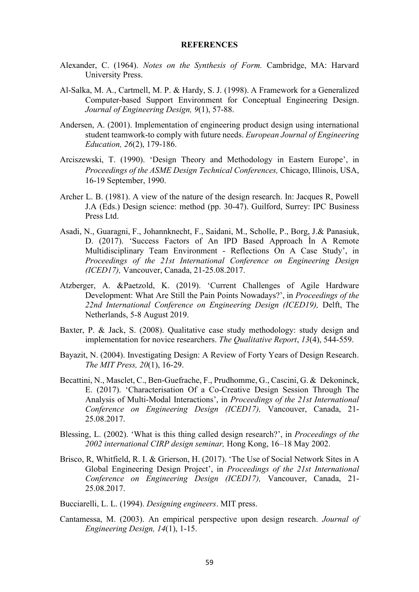#### **REFERENCES**

- Alexander, C. (1964). *Notes on the Synthesis of Form.* Cambridge, MA: Harvard University Press.
- Al-Salka, M. A., Cartmell, M. P. & Hardy, S. J. (1998). A Framework for a Generalized Computer-based Support Environment for Conceptual Engineering Design. *Journal of Engineering Design, 9*(1), 57-88.
- Andersen, A. (2001). Implementation of engineering product design using international student teamwork-to comply with future needs. *European Journal of Engineering Education, 26*(2), 179-186.
- Arciszewski, T. (1990). 'Design Theory and Methodology in Eastern Europe', in *Proceedings of the ASME Design Technical Conferences,* Chicago, Illinois, USA, 16-19 September, 1990.
- Archer L. B. (1981). A view of the nature of the design research. In: Jacques R, Powell J.A (Eds.) Design science: method (pp. 30-47). Guilford, Surrey: IPC Business Press Ltd.
- Asadi, N., Guaragni, F., Johannknecht, F., Saidani, M., Scholle, P., Borg, J.& Panasiuk, D. (2017). 'Success Factors of An IPD Based Approach İn A Remote Multidisciplinary Team Environment - Reflections On A Case Study', in *Proceedings of the 21st International Conference on Engineering Design (ICED17),* Vancouver, Canada, 21-25.08.2017.
- Atzberger, A. &Paetzold, K. (2019). 'Current Challenges of Agile Hardware Development: What Are Still the Pain Points Nowadays?', in *Proceedings of the 22nd International Conference on Engineering Design (ICED19),* Delft, The Netherlands, 5-8 August 2019.
- Baxter, P. & Jack, S. (2008). Qualitative case study methodology: study design and implementation for novice researchers. *The Qualitative Report*, *13*(4), 544-559.
- Bayazit, N. (2004). Investigating Design: A Review of Forty Years of Design Research. *The MIT Press, 20*(1), 16-29.
- Becattini, N., Masclet, C., Ben-Guefrache, F., Prudhomme, G., Cascini, G. & Dekoninck, E. (2017). 'Characterisation Of a Co-Creative Design Session Through The Analysis of Multi-Modal Interactions', in *Proceedings of the 21st International Conference on Engineering Design (ICED17),* Vancouver, Canada, 21- 25.08.2017.
- Blessing, L. (2002). 'What is this thing called design research?', in *Proceedings of the 2002 international CIRP design seminar,* Hong Kong, 16–18 May 2002.
- Brisco, R, Whitfield, R. I. & Grierson, H. (2017). 'The Use of Social Network Sites in A Global Engineering Design Project', in *Proceedings of the 21st International Conference on Engineering Design (ICED17),* Vancouver, Canada, 21- 25.08.2017.

Bucciarelli, L. L. (1994). *Designing engineers*. MIT press.

Cantamessa, M. (2003). An empirical perspective upon design research. *Journal of Engineering Design, 14*(1), 1-15.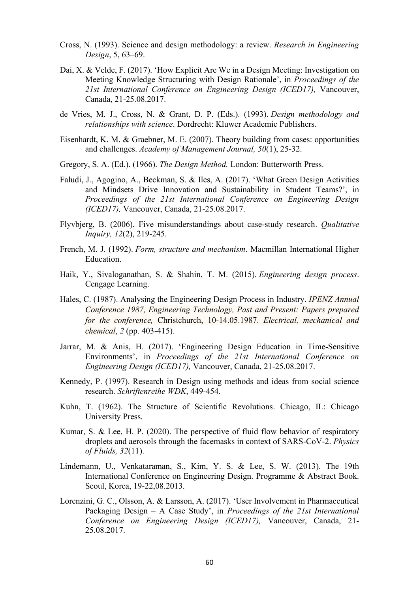- Cross, N. (1993). Science and design methodology: a review. *Research in Engineering Design*, 5, 63–69.
- Dai, X. & Velde, F. (2017). 'How Explicit Are We in a Design Meeting: Investigation on Meeting Knowledge Structuring with Design Rationale', in *Proceedings of the 21st International Conference on Engineering Design (ICED17),* Vancouver, Canada, 21-25.08.2017.
- de Vries, M. J., Cross, N. & Grant, D. P. (Eds.). (1993). *Design methodology and relationships with science*. Dordrecht: Kluwer Academic Publishers.
- Eisenhardt, K. M. & Graebner, M. E. (2007). Theory building from cases: opportunities and challenges. *Academy of Management Journal, 50*(1), 25-32.
- Gregory, S. A. (Ed.). (1966). *The Design Method.* London: Butterworth Press.
- Faludi, J., Agogino, A., Beckman, S. & Iles, A. (2017). 'What Green Design Activities and Mindsets Drive Innovation and Sustainability in Student Teams?', in *Proceedings of the 21st International Conference on Engineering Design (ICED17),* Vancouver, Canada, 21-25.08.2017.
- Flyvbjerg, B. (2006), Five misunderstandings about case-study research. *Qualitative Inquiry, 12*(2), 219-245.
- French, M. J. (1992). *Form, structure and mechanism*. Macmillan International Higher Education.
- Haik, Y., Sivaloganathan, S. & Shahin, T. M. (2015). *Engineering design process*. Cengage Learning.
- Hales, C. (1987). Analysing the Engineering Design Process in Industry. *IPENZ Annual Conference 1987, Engineering Technology, Past and Present: Papers prepared for the conference,* Christchurch, 10-14.05.1987. *Electrical, mechanical and chemical*, *2* (pp. 403-415).
- Jarrar, M. & Anis, H. (2017). 'Engineering Design Education in Time-Sensitive Environments', in *Proceedings of the 21st International Conference on Engineering Design (ICED17),* Vancouver, Canada, 21-25.08.2017.
- Kennedy, P. (1997). Research in Design using methods and ideas from social science research. *Schriftenreihe WDK*, 449-454.
- Kuhn, T. (1962). The Structure of Scientific Revolutions. Chicago, IL: Chicago University Press.
- Kumar, S. & Lee, H. P. (2020). The perspective of fluid flow behavior of respiratory droplets and aerosols through the facemasks in context of SARS-CoV-2. *Physics of Fluids, 32*(11).
- Lindemann, U., Venkataraman, S., Kim, Y. S. & Lee, S. W. (2013). The 19th International Conference on Engineering Design. Programme & Abstract Book. Seoul, Korea, 19-22,08.2013.
- Lorenzini, G. C., Olsson, A. & Larsson, A. (2017). 'User Involvement in Pharmaceutical Packaging Design – A Case Study', in *Proceedings of the 21st International Conference on Engineering Design (ICED17),* Vancouver, Canada, 21- 25.08.2017.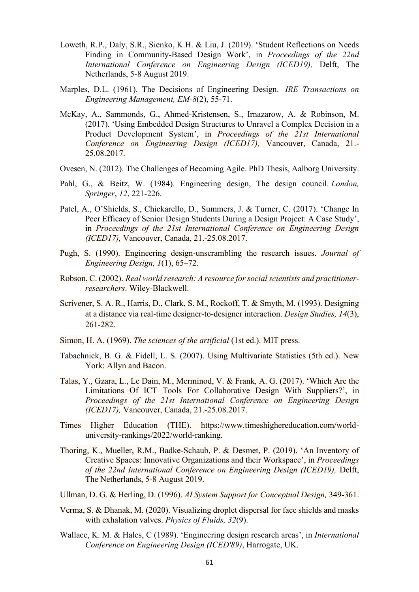- Loweth, R.P., Daly, S.R., Sienko, K.H. & Liu, J. (2019). 'Student Reflections on Needs Finding in Community-Based Design Work', in *Proceedings of the 22nd International Conference on Engineering Design (ICED19),* Delft, The Netherlands, 5-8 August 2019.
- Marples, D.L. (1961). The Decisions of Engineering Design. *[IRE Transactions on](https://ieeexplore.ieee.org/xpl/RecentIssue.jsp?punumber=5007355)  [Engineering Management,](https://ieeexplore.ieee.org/xpl/RecentIssue.jsp?punumber=5007355) EM-8*(2), 55-71.
- McKay, A., Sammonds, G., Ahmed-Kristensen, S., Irnazarow, A. & Robinson, M. (2017). 'Using Embedded Design Structures to Unravel a Complex Decision in a Product Development System', in *Proceedings of the 21st International Conference on Engineering Design (ICED17),* Vancouver, Canada, 21.- 25.08.2017.
- Ovesen, N. (2012). The Challenges of Becoming Agile. PhD Thesis, Aalborg University.
- Pahl, G., & Beitz, W. (1984). Engineering design, The design council. *London, Springer*, *12*, 221-226.
- Patel, A., O'Shields, S., Chickarello, D., Summers, J. & Turner, C. (2017). 'Change In Peer Efficacy of Senior Design Students During a Design Project: A Case Study', in *Proceedings of the 21st International Conference on Engineering Design (ICED17),* Vancouver, Canada, 21.-25.08.2017.
- Pugh, S. (1990). Engineering design-unscrambling the research issues. *Journal of Engineering Design, 1*(1), 65–72.
- Robson, C. (2002). *Real world research: A resource for social scientists and practitionerresearchers*. Wiley-Blackwell.
- [Scrivener,](https://www.sciencedirect.com/science/article/abs/pii/0142694X93800247#!) S. A. R., [Harris,](https://www.sciencedirect.com/science/article/abs/pii/0142694X93800247#!) D., [Clark,](https://www.sciencedirect.com/science/article/abs/pii/0142694X93800247#!) S. M., [Rockoff,](https://www.sciencedirect.com/science/article/abs/pii/0142694X93800247#!) T. & [Smyth,](https://www.sciencedirect.com/science/article/abs/pii/0142694X93800247#!) M. (1993). Designing at a distance via real-time designer-to-designer interaction. *Design Studies, 14*(3), 261-282.
- Simon, H. A. (1969). *The sciences of the artificial* (1st ed.). MIT press.
- Tabachnick, B. G. & Fidell, L. S. (2007). Using Multivariate Statistics (5th ed.). New York: Allyn and Bacon.
- Talas, Y., Gzara, L., Le Dain, M., Merminod, V. & Frank, A. G. (2017). 'Which Are the Limitations Of ICT Tools For Collaborative Design With Suppliers?', in *Proceedings of the 21st International Conference on Engineering Design (ICED17),* Vancouver, Canada, 21.-25.08.2017.
- Times Higher Education (THE). https://www.timeshighereducation.com/worlduniversity-rankings/2022/world-ranking.
- Thoring, K., Mueller, R.M., Badke-Schaub, P. & Desmet, P. (2019). 'An Inventory of Creative Spaces: Innovative Organizations and their Workspace', in *Proceedings of the 22nd International Conference on Engineering Design (ICED19),* Delft, The Netherlands, 5-8 August 2019.
- Ullman, D. G. & Herling, D. (1996). *[AI System Support for Conceptual Design,](https://link.springer.com/book/10.1007/978-1-4471-1475-8)* 349-361.
- Verma, S. & Dhanak, M. (2020). Visualizing droplet dispersal for face shields and masks with exhalation valves. *Physics of Fluids, 32*(9).
- Wallace, K. M. & Hales, C (1989). 'Engineering design research areas', in *International Conference on Engineering Design (ICED'89)*, Harrogate, UK.